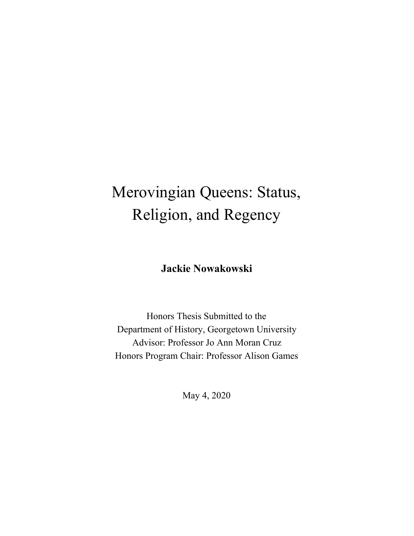# Merovingian Queens: Status, Religion, and Regency

**Jackie Nowakowski**

Honors Thesis Submitted to the Department of History, Georgetown University Advisor: Professor Jo Ann Moran Cruz Honors Program Chair: Professor Alison Games

May 4, 2020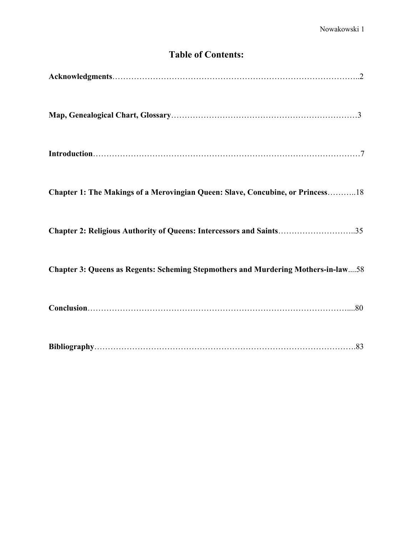# **Table of Contents:**

| Chapter 1: The Makings of a Merovingian Queen: Slave, Concubine, or Princess18    |
|-----------------------------------------------------------------------------------|
| Chapter 2: Religious Authority of Queens: Intercessors and Saints35               |
| Chapter 3: Queens as Regents: Scheming Stepmothers and Murdering Mothers-in-law58 |
|                                                                                   |
|                                                                                   |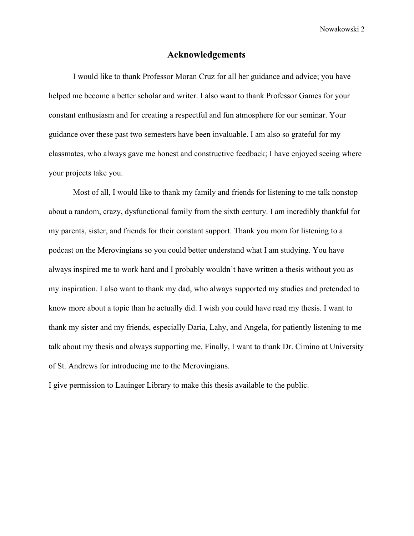#### **Acknowledgements**

I would like to thank Professor Moran Cruz for all her guidance and advice; you have helped me become a better scholar and writer. I also want to thank Professor Games for your constant enthusiasm and for creating a respectful and fun atmosphere for our seminar. Your guidance over these past two semesters have been invaluable. I am also so grateful for my classmates, who always gave me honest and constructive feedback; I have enjoyed seeing where your projects take you.

Most of all, I would like to thank my family and friends for listening to me talk nonstop about a random, crazy, dysfunctional family from the sixth century. I am incredibly thankful for my parents, sister, and friends for their constant support. Thank you mom for listening to a podcast on the Merovingians so you could better understand what I am studying. You have always inspired me to work hard and I probably wouldn't have written a thesis without you as my inspiration. I also want to thank my dad, who always supported my studies and pretended to know more about a topic than he actually did. I wish you could have read my thesis. I want to thank my sister and my friends, especially Daria, Lahy, and Angela, for patiently listening to me talk about my thesis and always supporting me. Finally, I want to thank Dr. Cimino at University of St. Andrews for introducing me to the Merovingians.

I give permission to Lauinger Library to make this thesis available to the public.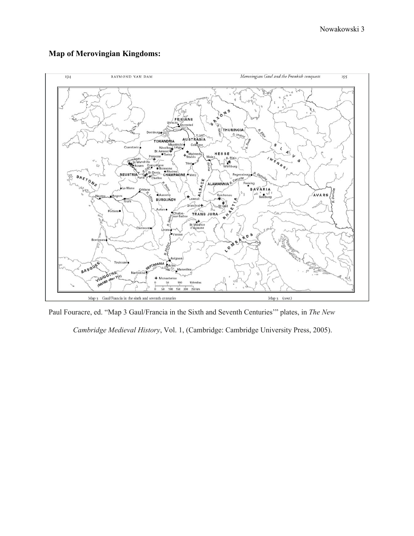

#### **Map of Merovingian Kingdoms:**

Paul Fouracre, ed. "Map 3 Gaul/Francia in the Sixth and Seventh Centuries'" plates, in *The New*

*Cambridge Medieval History*, Vol. 1, (Cambridge: Cambridge University Press, 2005).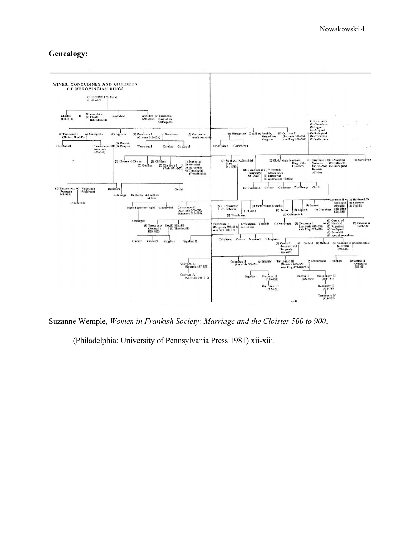### **Genealogy:**



Suzanne Wemple, *Women in Frankish Society: Marriage and the Cloister 500 to 900*,

(Philadelphia: University of Pennsylvania Press 1981) xii-xiii.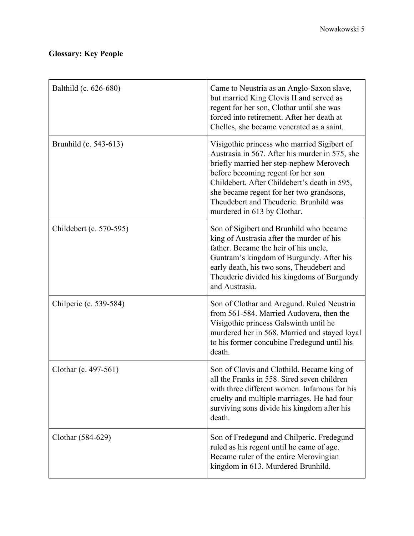## **Glossary: Key People**

| Balthild (c. 626-680)   | Came to Neustria as an Anglo-Saxon slave,<br>but married King Clovis II and served as<br>regent for her son, Clothar until she was<br>forced into retirement. After her death at<br>Chelles, she became venerated as a saint.                                                                                                                        |
|-------------------------|------------------------------------------------------------------------------------------------------------------------------------------------------------------------------------------------------------------------------------------------------------------------------------------------------------------------------------------------------|
| Brunhild (c. 543-613)   | Visigothic princess who married Sigibert of<br>Austrasia in 567. After his murder in 575, she<br>briefly married her step-nephew Merovech<br>before becoming regent for her son<br>Childebert. After Childebert's death in 595,<br>she became regent for her two grandsons,<br>Theudebert and Theuderic. Brunhild was<br>murdered in 613 by Clothar. |
| Childebert (c. 570-595) | Son of Sigibert and Brunhild who became<br>king of Austrasia after the murder of his<br>father. Became the heir of his uncle,<br>Guntram's kingdom of Burgundy. After his<br>early death, his two sons, Theudebert and<br>Theuderic divided his kingdoms of Burgundy<br>and Austrasia.                                                               |
| Chilperic (c. 539-584)  | Son of Clothar and Aregund. Ruled Neustria<br>from 561-584. Married Audovera, then the<br>Visigothic princess Galswinth until he<br>murdered her in 568. Married and stayed loyal<br>to his former concubine Fredegund until his<br>death.                                                                                                           |
| Clothar (c. 497-561)    | Son of Clovis and Clothild. Became king of<br>all the Franks in 558. Sired seven children<br>with three different women. Infamous for his<br>cruelty and multiple marriages. He had four<br>surviving sons divide his kingdom after his<br>death.                                                                                                    |
| Clothar (584-629)       | Son of Fredegund and Chilperic. Fredegund<br>ruled as his regent until he came of age.<br>Became ruler of the entire Merovingian<br>kingdom in 613. Murdered Brunhild.                                                                                                                                                                               |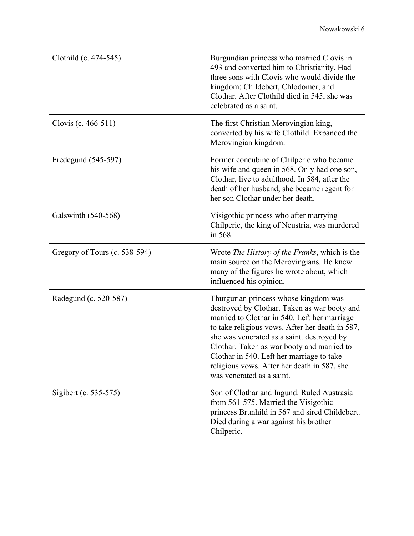| Clothild (c. 474-545)         | Burgundian princess who married Clovis in<br>493 and converted him to Christianity. Had<br>three sons with Clovis who would divide the<br>kingdom: Childebert, Chlodomer, and<br>Clothar. After Clothild died in 545, she was<br>celebrated as a saint.                                                                                                                                                       |
|-------------------------------|---------------------------------------------------------------------------------------------------------------------------------------------------------------------------------------------------------------------------------------------------------------------------------------------------------------------------------------------------------------------------------------------------------------|
| Clovis (c. 466-511)           | The first Christian Merovingian king,<br>converted by his wife Clothild. Expanded the<br>Merovingian kingdom.                                                                                                                                                                                                                                                                                                 |
| Fredegund (545-597)           | Former concubine of Chilperic who became<br>his wife and queen in 568. Only had one son,<br>Clothar, live to adulthood. In 584, after the<br>death of her husband, she became regent for<br>her son Clothar under her death.                                                                                                                                                                                  |
| Galswinth (540-568)           | Visigothic princess who after marrying<br>Chilperic, the king of Neustria, was murdered<br>in 568.                                                                                                                                                                                                                                                                                                            |
| Gregory of Tours (c. 538-594) | Wrote The History of the Franks, which is the<br>main source on the Merovingians. He knew<br>many of the figures he wrote about, which<br>influenced his opinion.                                                                                                                                                                                                                                             |
| Radegund (c. 520-587)         | Thurgurian princess whose kingdom was<br>destroyed by Clothar. Taken as war booty and<br>married to Clothar in 540. Left her marriage<br>to take religious vows. After her death in 587,<br>she was venerated as a saint. destroyed by<br>Clothar. Taken as war booty and married to<br>Clothar in 540. Left her marriage to take<br>religious vows. After her death in 587, she<br>was venerated as a saint. |
| Sigibert (c. 535-575)         | Son of Clothar and Ingund. Ruled Austrasia<br>from 561-575. Married the Visigothic<br>princess Brunhild in 567 and sired Childebert.<br>Died during a war against his brother<br>Chilperic.                                                                                                                                                                                                                   |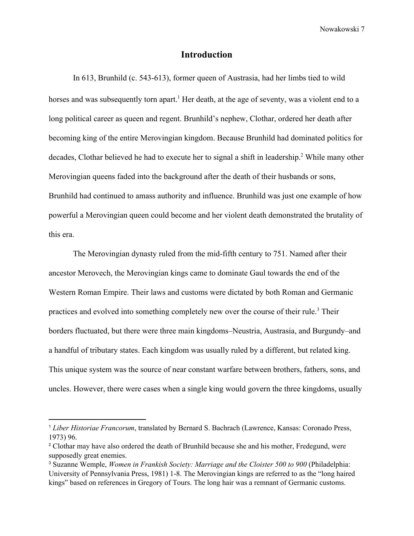#### **Introduction**

In 613, Brunhild (c. 543-613), former queen of Austrasia, had her limbs tied to wild horses and was subsequently torn apart.<sup>1</sup> Her death, at the age of seventy, was a violent end to a long political career as queen and regent. Brunhild's nephew, Clothar, ordered her death after becoming king of the entire Merovingian kingdom. Because Brunhild had dominated politics for decades, Clothar believed he had to execute her to signal a shift in leadership.<sup>2</sup> While many other Merovingian queens faded into the background after the death of their husbands or sons, Brunhild had continued to amass authority and influence. Brunhild was just one example of how powerful a Merovingian queen could become and her violent death demonstrated the brutality of this era.

The Merovingian dynasty ruled from the mid-fifth century to 751. Named after their ancestor Merovech, the Merovingian kings came to dominate Gaul towards the end of the Western Roman Empire. Their laws and customs were dictated by both Roman and Germanic practices and evolved into something completely new over the course of their rule.<sup>3</sup> Their borders fluctuated, but there were three main kingdoms–Neustria, Austrasia, and Burgundy–and a handful of tributary states. Each kingdom was usually ruled by a different, but related king. This unique system was the source of near constant warfare between brothers, fathers, sons, and uncles. However, there were cases when a single king would govern the three kingdoms, usually

<sup>1</sup> *Liber Historiae Francorum*, translated by Bernard S. Bachrach (Lawrence, Kansas: Coronado Press, 1973) 96.

<sup>&</sup>lt;sup>2</sup> Clothar may have also ordered the death of Brunhild because she and his mother, Fredegund, were supposedly great enemies.

<sup>3</sup> Suzanne Wemple, *Women in Frankish Society: Marriage and the Cloister 500 to 900* (Philadelphia: University of Pennsylvania Press, 1981) 1-8. The Merovingian kings are referred to as the "long haired kings" based on references in Gregory of Tours. The long hair was a remnant of Germanic customs.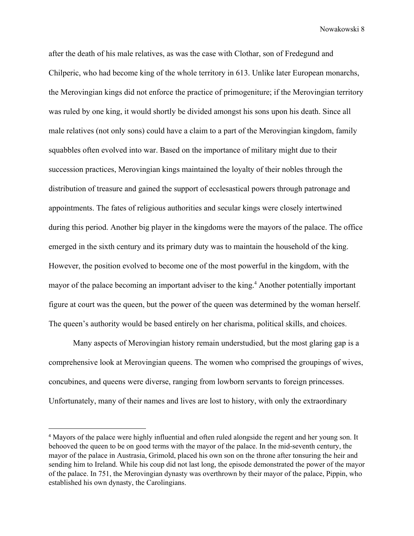after the death of his male relatives, as was the case with Clothar, son of Fredegund and Chilperic, who had become king of the whole territory in 613. Unlike later European monarchs, the Merovingian kings did not enforce the practice of primogeniture; if the Merovingian territory was ruled by one king, it would shortly be divided amongst his sons upon his death. Since all male relatives (not only sons) could have a claim to a part of the Merovingian kingdom, family squabbles often evolved into war. Based on the importance of military might due to their succession practices, Merovingian kings maintained the loyalty of their nobles through the distribution of treasure and gained the support of ecclesastical powers through patronage and appointments. The fates of religious authorities and secular kings were closely intertwined during this period. Another big player in the kingdoms were the mayors of the palace. The office emerged in the sixth century and its primary duty was to maintain the household of the king. However, the position evolved to become one of the most powerful in the kingdom, with the mayor of the palace becoming an important adviser to the king.<sup>4</sup> Another potentially important figure at court was the queen, but the power of the queen was determined by the woman herself. The queen's authority would be based entirely on her charisma, political skills, and choices.

Many aspects of Merovingian history remain understudied, but the most glaring gap is a comprehensive look at Merovingian queens. The women who comprised the groupings of wives, concubines, and queens were diverse, ranging from lowborn servants to foreign princesses. Unfortunately, many of their names and lives are lost to history, with only the extraordinary

<sup>4</sup> Mayors of the palace were highly influential and often ruled alongside the regent and her young son. It behooved the queen to be on good terms with the mayor of the palace. In the mid-seventh century, the mayor of the palace in Austrasia, Grimold, placed his own son on the throne after tonsuring the heir and sending him to Ireland. While his coup did not last long, the episode demonstrated the power of the mayor of the palace. In 751, the Merovingian dynasty was overthrown by their mayor of the palace, Pippin, who established his own dynasty, the Carolingians.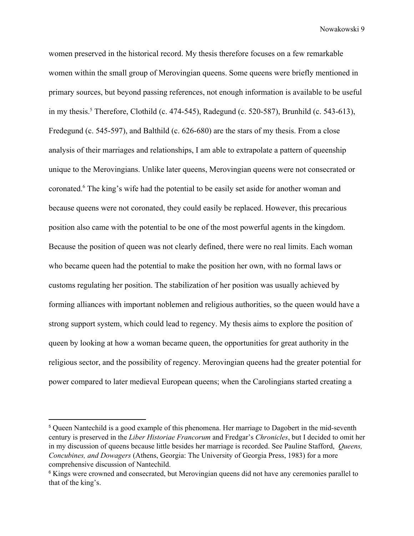women preserved in the historical record. My thesis therefore focuses on a few remarkable women within the small group of Merovingian queens. Some queens were briefly mentioned in primary sources, but beyond passing references, not enough information is available to be useful in my thesis.<sup>5</sup> Therefore, Clothild (c. 474-545), Radegund (c. 520-587), Brunhild (c. 543-613), Fredegund (c. 545-597), and Balthild (c. 626-680) are the stars of my thesis. From a close analysis of their marriages and relationships, I am able to extrapolate a pattern of queenship unique to the Merovingians. Unlike later queens, Merovingian queens were not consecrated or coronated.<sup>6</sup> The king's wife had the potential to be easily set aside for another woman and because queens were not coronated, they could easily be replaced. However, this precarious position also came with the potential to be one of the most powerful agents in the kingdom. Because the position of queen was not clearly defined, there were no real limits. Each woman who became queen had the potential to make the position her own, with no formal laws or customs regulating her position. The stabilization of her position was usually achieved by forming alliances with important noblemen and religious authorities, so the queen would have a strong support system, which could lead to regency. My thesis aims to explore the position of queen by looking at how a woman became queen, the opportunities for great authority in the religious sector, and the possibility of regency. Merovingian queens had the greater potential for power compared to later medieval European queens; when the Carolingians started creating a

<sup>5</sup> Queen Nantechild is a good example of this phenomena. Her marriage to Dagobert in the mid-seventh century is preserved in the *Liber Historiae Francorum* and Fredgar's *Chronicles*, but I decided to omit her in my discussion of queens because little besides her marriage is recorded. See Pauline Stafford, *Queens, Concubines, and Dowagers* (Athens, Georgia: The University of Georgia Press, 1983) for a more comprehensive discussion of Nantechild.

<sup>&</sup>lt;sup>6</sup> Kings were crowned and consecrated, but Merovingian queens did not have any ceremonies parallel to that of the king's.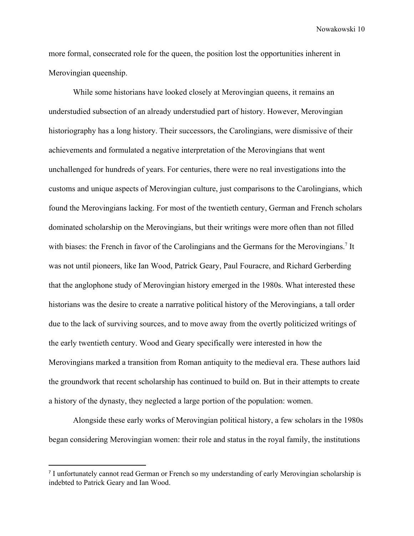more formal, consecrated role for the queen, the position lost the opportunities inherent in Merovingian queenship.

While some historians have looked closely at Merovingian queens, it remains an understudied subsection of an already understudied part of history. However, Merovingian historiography has a long history. Their successors, the Carolingians, were dismissive of their achievements and formulated a negative interpretation of the Merovingians that went unchallenged for hundreds of years. For centuries, there were no real investigations into the customs and unique aspects of Merovingian culture, just comparisons to the Carolingians, which found the Merovingians lacking. For most of the twentieth century, German and French scholars dominated scholarship on the Merovingians, but their writings were more often than not filled with biases: the French in favor of the Carolingians and the Germans for the Merovingians.<sup>7</sup> It was not until pioneers, like Ian Wood, Patrick Geary, Paul Fouracre, and Richard Gerberding that the anglophone study of Merovingian history emerged in the 1980s. What interested these historians was the desire to create a narrative political history of the Merovingians, a tall order due to the lack of surviving sources, and to move away from the overtly politicized writings of the early twentieth century. Wood and Geary specifically were interested in how the Merovingians marked a transition from Roman antiquity to the medieval era. These authors laid the groundwork that recent scholarship has continued to build on. But in their attempts to create a history of the dynasty, they neglected a large portion of the population: women.

Alongside these early works of Merovingian political history, a few scholars in the 1980s began considering Merovingian women: their role and status in the royal family, the institutions

<sup>7</sup> I unfortunately cannot read German or French so my understanding of early Merovingian scholarship is indebted to Patrick Geary and Ian Wood.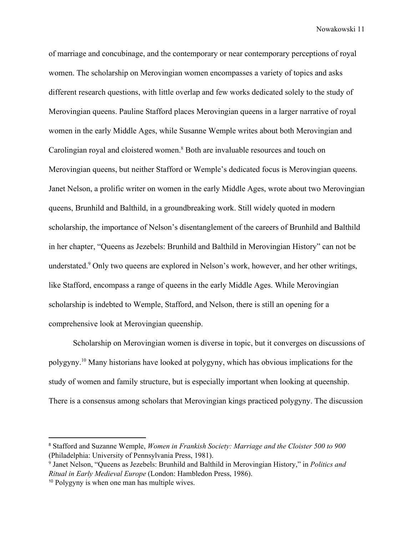of marriage and concubinage, and the contemporary or near contemporary perceptions of royal women. The scholarship on Merovingian women encompasses a variety of topics and asks different research questions, with little overlap and few works dedicated solely to the study of Merovingian queens. Pauline Stafford places Merovingian queens in a larger narrative of royal women in the early Middle Ages, while Susanne Wemple writes about both Merovingian and Carolingian royal and cloistered women.<sup>8</sup> Both are invaluable resources and touch on Merovingian queens, but neither Stafford or Wemple's dedicated focus is Merovingian queens. Janet Nelson, a prolific writer on women in the early Middle Ages, wrote about two Merovingian queens, Brunhild and Balthild, in a groundbreaking work. Still widely quoted in modern scholarship, the importance of Nelson's disentanglement of the careers of Brunhild and Balthild in her chapter, "Queens as Jezebels: Brunhild and Balthild in Merovingian History" can not be understated.<sup>9</sup> Only two queens are explored in Nelson's work, however, and her other writings, like Stafford, encompass a range of queens in the early Middle Ages. While Merovingian scholarship is indebted to Wemple, Stafford, and Nelson, there is still an opening for a comprehensive look at Merovingian queenship.

Scholarship on Merovingian women is diverse in topic, but it converges on discussions of polygyny. Many historians have looked at polygyny, which has obvious implications for the <sup>10</sup> study of women and family structure, but is especially important when looking at queenship. There is a consensus among scholars that Merovingian kings practiced polygyny. The discussion

<sup>8</sup> Stafford and Suzanne Wemple, *Women in Frankish Society: Marriage and the Cloister 500 to 900* (Philadelphia: University of Pennsylvania Press, 1981).

<sup>9</sup> Janet Nelson, "Queens as Jezebels: Brunhild and Balthild in Merovingian History," in *Politics and Ritual in Early Medieval Europe* (London: Hambledon Press, 1986).

<sup>10</sup> Polygyny is when one man has multiple wives.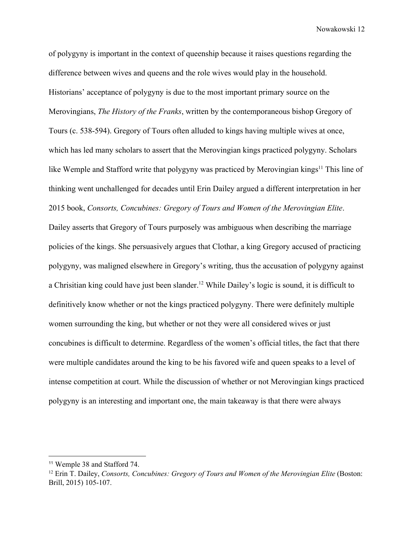of polygyny is important in the context of queenship because it raises questions regarding the difference between wives and queens and the role wives would play in the household. Historians' acceptance of polygyny is due to the most important primary source on the Merovingians, *The History of the Franks*, written by the contemporaneous bishop Gregory of Tours (c. 538-594). Gregory of Tours often alluded to kings having multiple wives at once, which has led many scholars to assert that the Merovingian kings practiced polygyny. Scholars like Wemple and Stafford write that polygyny was practiced by Merovingian kings<sup> $11$ </sup> This line of thinking went unchallenged for decades until Erin Dailey argued a different interpretation in her 2015 book, *Consorts, Concubines: Gregory of Tours and Women of the Merovingian Elite*. Dailey asserts that Gregory of Tours purposely was ambiguous when describing the marriage policies of the kings. She persuasively argues that Clothar, a king Gregory accused of practicing polygyny, was maligned elsewhere in Gregory's writing, thus the accusation of polygyny against a Chrisitian king could have just been slander.<sup>12</sup> While Dailey's logic is sound, it is difficult to definitively know whether or not the kings practiced polygyny. There were definitely multiple women surrounding the king, but whether or not they were all considered wives or just concubines is difficult to determine. Regardless of the women's official titles, the fact that there were multiple candidates around the king to be his favored wife and queen speaks to a level of intense competition at court. While the discussion of whether or not Merovingian kings practiced polygyny is an interesting and important one, the main takeaway is that there were always

<sup>11</sup> Wemple 38 and Stafford 74.

<sup>12</sup> Erin T. Dailey, *Consorts, Concubines: Gregory of Tours and Women of the Merovingian Elite* (Boston: Brill, 2015) 105-107.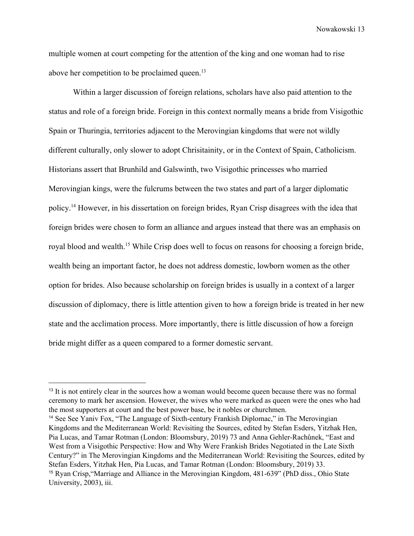multiple women at court competing for the attention of the king and one woman had to rise above her competition to be proclaimed queen.<sup>13</sup>

Within a larger discussion of foreign relations, scholars have also paid attention to the status and role of a foreign bride. Foreign in this context normally means a bride from Visigothic Spain or Thuringia, territories adjacent to the Merovingian kingdoms that were not wildly different culturally, only slower to adopt Chrisitainity, or in the Context of Spain, Catholicism. Historians assert that Brunhild and Galswinth, two Visigothic princesses who married Merovingian kings, were the fulcrums between the two states and part of a larger diplomatic policy.<sup>14</sup> However, in his dissertation on foreign brides, Ryan Crisp disagrees with the idea that foreign brides were chosen to form an alliance and argues instead that there was an emphasis on royal blood and wealth.<sup>15</sup> While Crisp does well to focus on reasons for choosing a foreign bride, wealth being an important factor, he does not address domestic, lowborn women as the other option for brides. Also because scholarship on foreign brides is usually in a context of a larger discussion of diplomacy, there is little attention given to how a foreign bride is treated in her new state and the acclimation process. More importantly, there is little discussion of how a foreign bride might differ as a queen compared to a former domestic servant.

<sup>&</sup>lt;sup>13</sup> It is not entirely clear in the sources how a woman would become queen because there was no formal ceremony to mark her ascension. However, the wives who were marked as queen were the ones who had the most supporters at court and the best power base, be it nobles or churchmen.

<sup>14</sup> See See Yaniv Fox, "The Language of Sixth-century Frankish Diplomac," in The Merovingian Kingdoms and the Mediterranean World: Revisiting the Sources, edited by Stefan Esders, Yitzhak Hen, Pia Lucas, and Tamar Rotman (London: Bloomsbury, 2019) 73 and Anna Gehler-Rachůnek, "East and West from a Visigothic Perspective: How and Why Were Frankish Brides Negotiated in the Late Sixth Century?" in The Merovingian Kingdoms and the Mediterranean World: Revisiting the Sources, edited by Stefan Esders, Yitzhak Hen, Pia Lucas, and Tamar Rotman (London: Bloomsbury, 2019) 33. <sup>15</sup> Ryan Crisp,"Marriage and Alliance in the Merovingian Kingdom, 481-639" (PhD diss., Ohio State University, 2003), iii.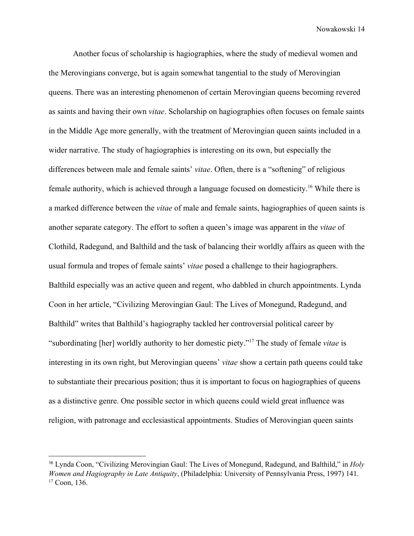Another focus of scholarship is hagiographies, where the study of medieval women and the Merovingians converge, but is again somewhat tangential to the study of Merovingian queens. There was an interesting phenomenon of certain Merovingian queens becoming revered as saints and having their own *vitae*. Scholarship on hagiographies often focuses on female saints in the Middle Age more generally, with the treatment of Merovingian queen saints included in a wider narrative. The study of hagiographies is interesting on its own, but especially the differences between male and female saints' *vitae*. Often, there is a "softening" of religious female authority, which is achieved through a language focused on domesticity.<sup>16</sup> While there is a marked difference between the *vitae* of male and female saints, hagiographies of queen saints is another separate category. The effort to soften a queen's image was apparent in the *vitae* of Clothild, Radegund, and Balthild and the task of balancing their worldly affairs as queen with the usual formula and tropes of female saints' *vitae* posed a challenge to their hagiographers. Balthild especially was an active queen and regent, who dabbled in church appointments. Lynda Coon in her article, "Civilizing Merovingian Gaul: The Lives of Monegund, Radegund, and Balthild" writes that Balthild's hagiography tackled her controversial political career by "subordinating [her] worldly authority to her domestic piety."<sup>17</sup> The study of female *vitae* is interesting in its own right, but Merovingian queens' *vitae* show a certain path queens could take to substantiate their precarious position; thus it is important to focus on hagiographies of queens as a distinctive genre. One possible sector in which queens could wield great influence was religion, with patronage and ecclesiastical appointments. Studies of Merovingian queen saints

<sup>16</sup> Lynda Coon, "Civilizing Merovingian Gaul: The Lives of Monegund, Radegund, and Balthild," in *Holy Women and Hagiography in Late Antiquity*, (Philadelphia: University of Pennsylvania Press, 1997) 141. <sup>17</sup> Coon, 136.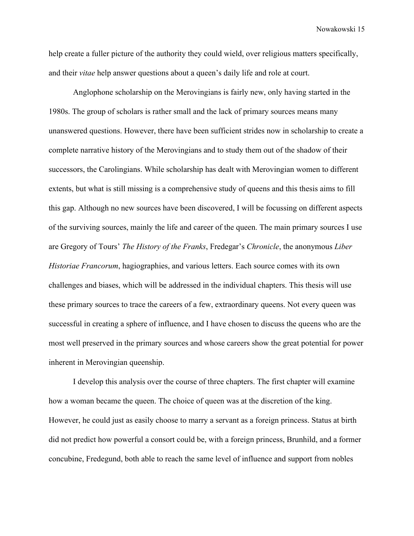help create a fuller picture of the authority they could wield, over religious matters specifically, and their *vitae* help answer questions about a queen's daily life and role at court.

Anglophone scholarship on the Merovingians is fairly new, only having started in the 1980s. The group of scholars is rather small and the lack of primary sources means many unanswered questions. However, there have been sufficient strides now in scholarship to create a complete narrative history of the Merovingians and to study them out of the shadow of their successors, the Carolingians. While scholarship has dealt with Merovingian women to different extents, but what is still missing is a comprehensive study of queens and this thesis aims to fill this gap. Although no new sources have been discovered, I will be focussing on different aspects of the surviving sources, mainly the life and career of the queen. The main primary sources I use are Gregory of Tours' *The History of the Franks*, Fredegar's *Chronicle*, the anonymous *Liber Historiae Francorum*, hagiographies, and various letters. Each source comes with its own challenges and biases, which will be addressed in the individual chapters. This thesis will use these primary sources to trace the careers of a few, extraordinary queens. Not every queen was successful in creating a sphere of influence, and I have chosen to discuss the queens who are the most well preserved in the primary sources and whose careers show the great potential for power inherent in Merovingian queenship.

I develop this analysis over the course of three chapters. The first chapter will examine how a woman became the queen. The choice of queen was at the discretion of the king. However, he could just as easily choose to marry a servant as a foreign princess. Status at birth did not predict how powerful a consort could be, with a foreign princess, Brunhild, and a former concubine, Fredegund, both able to reach the same level of influence and support from nobles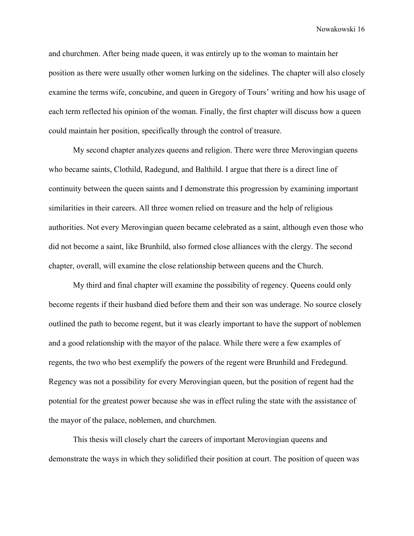and churchmen. After being made queen, it was entirely up to the woman to maintain her position as there were usually other women lurking on the sidelines. The chapter will also closely examine the terms wife, concubine, and queen in Gregory of Tours' writing and how his usage of each term reflected his opinion of the woman. Finally, the first chapter will discuss how a queen could maintain her position, specifically through the control of treasure.

My second chapter analyzes queens and religion. There were three Merovingian queens who became saints, Clothild, Radegund, and Balthild. I argue that there is a direct line of continuity between the queen saints and I demonstrate this progression by examining important similarities in their careers. All three women relied on treasure and the help of religious authorities. Not every Merovingian queen became celebrated as a saint, although even those who did not become a saint, like Brunhild, also formed close alliances with the clergy. The second chapter, overall, will examine the close relationship between queens and the Church.

My third and final chapter will examine the possibility of regency. Queens could only become regents if their husband died before them and their son was underage. No source closely outlined the path to become regent, but it was clearly important to have the support of noblemen and a good relationship with the mayor of the palace. While there were a few examples of regents, the two who best exemplify the powers of the regent were Brunhild and Fredegund. Regency was not a possibility for every Merovingian queen, but the position of regent had the potential for the greatest power because she was in effect ruling the state with the assistance of the mayor of the palace, noblemen, and churchmen.

This thesis will closely chart the careers of important Merovingian queens and demonstrate the ways in which they solidified their position at court. The position of queen was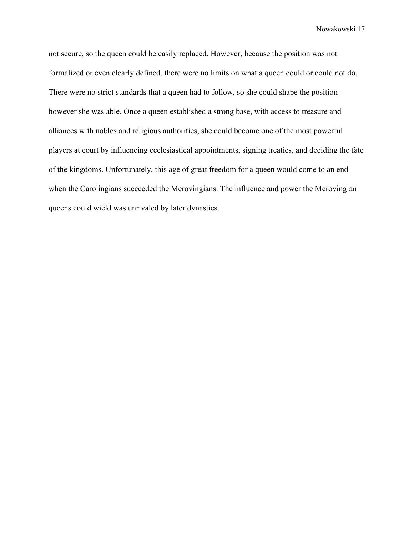not secure, so the queen could be easily replaced. However, because the position was not formalized or even clearly defined, there were no limits on what a queen could or could not do. There were no strict standards that a queen had to follow, so she could shape the position however she was able. Once a queen established a strong base, with access to treasure and alliances with nobles and religious authorities, she could become one of the most powerful players at court by influencing ecclesiastical appointments, signing treaties, and deciding the fate of the kingdoms. Unfortunately, this age of great freedom for a queen would come to an end when the Carolingians succeeded the Merovingians. The influence and power the Merovingian queens could wield was unrivaled by later dynasties.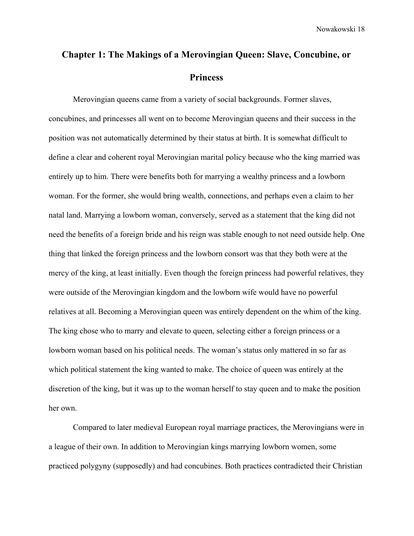# **Chapter 1: The Makings of a Merovingian Queen: Slave, Concubine, or Princess**

Merovingian queens came from a variety of social backgrounds. Former slaves, concubines, and princesses all went on to become Merovingian queens and their success in the position was not automatically determined by their status at birth. It is somewhat difficult to define a clear and coherent royal Merovingian marital policy because who the king married was entirely up to him. There were benefits both for marrying a wealthy princess and a lowborn woman. For the former, she would bring wealth, connections, and perhaps even a claim to her natal land. Marrying a lowborn woman, conversely, served as a statement that the king did not need the benefits of a foreign bride and his reign was stable enough to not need outside help. One thing that linked the foreign princess and the lowborn consort was that they both were at the mercy of the king, at least initially. Even though the foreign princess had powerful relatives, they were outside of the Merovingian kingdom and the lowborn wife would have no powerful relatives at all. Becoming a Merovingian queen was entirely dependent on the whim of the king. The king chose who to marry and elevate to queen, selecting either a foreign princess or a lowborn woman based on his political needs. The woman's status only mattered in so far as which political statement the king wanted to make. The choice of queen was entirely at the discretion of the king, but it was up to the woman herself to stay queen and to make the position her own.

Compared to later medieval European royal marriage practices, the Merovingians were in a league of their own. In addition to Merovingian kings marrying lowborn women, some practiced polygyny (supposedly) and had concubines. Both practices contradicted their Christian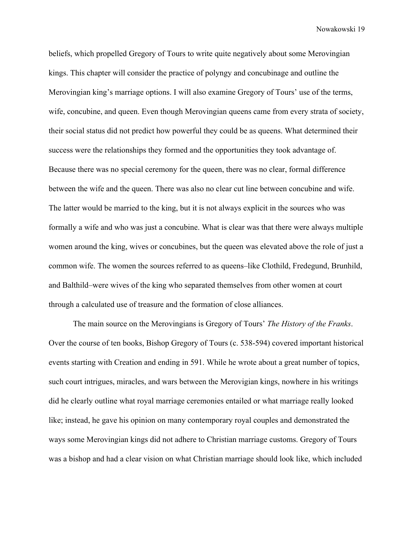beliefs, which propelled Gregory of Tours to write quite negatively about some Merovingian kings. This chapter will consider the practice of polyngy and concubinage and outline the Merovingian king's marriage options. I will also examine Gregory of Tours' use of the terms, wife, concubine, and queen. Even though Merovingian queens came from every strata of society, their social status did not predict how powerful they could be as queens. What determined their success were the relationships they formed and the opportunities they took advantage of. Because there was no special ceremony for the queen, there was no clear, formal difference between the wife and the queen. There was also no clear cut line between concubine and wife. The latter would be married to the king, but it is not always explicit in the sources who was formally a wife and who was just a concubine. What is clear was that there were always multiple women around the king, wives or concubines, but the queen was elevated above the role of just a common wife. The women the sources referred to as queens–like Clothild, Fredegund, Brunhild, and Balthild–were wives of the king who separated themselves from other women at court through a calculated use of treasure and the formation of close alliances.

The main source on the Merovingians is Gregory of Tours' *The History of the Franks*. Over the course of ten books, Bishop Gregory of Tours (c. 538-594) covered important historical events starting with Creation and ending in 591. While he wrote about a great number of topics, such court intrigues, miracles, and wars between the Merovigian kings, nowhere in his writings did he clearly outline what royal marriage ceremonies entailed or what marriage really looked like; instead, he gave his opinion on many contemporary royal couples and demonstrated the ways some Merovingian kings did not adhere to Christian marriage customs. Gregory of Tours was a bishop and had a clear vision on what Christian marriage should look like, which included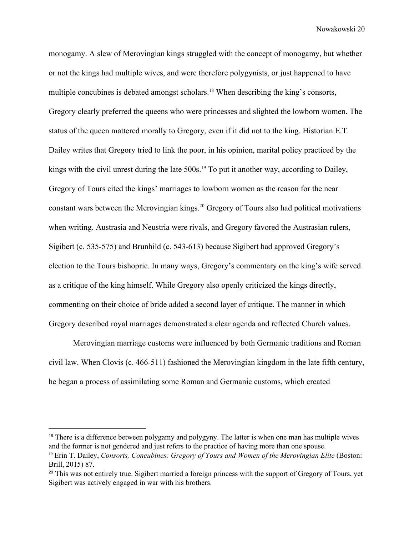monogamy. A slew of Merovingian kings struggled with the concept of monogamy, but whether or not the kings had multiple wives, and were therefore polygynists, or just happened to have multiple concubines is debated amongst scholars.<sup>18</sup> When describing the king's consorts, Gregory clearly preferred the queens who were princesses and slighted the lowborn women. The status of the queen mattered morally to Gregory, even if it did not to the king. Historian E.T. Dailey writes that Gregory tried to link the poor, in his opinion, marital policy practiced by the kings with the civil unrest during the late  $500s$ .<sup>19</sup> To put it another way, according to Dailey, Gregory of Tours cited the kings' marriages to lowborn women as the reason for the near constant wars between the Merovingian kings.<sup>20</sup> Gregory of Tours also had political motivations when writing. Austrasia and Neustria were rivals, and Gregory favored the Austrasian rulers, Sigibert (c. 535-575) and Brunhild (c. 543-613) because Sigibert had approved Gregory's election to the Tours bishopric. In many ways, Gregory's commentary on the king's wife served as a critique of the king himself. While Gregory also openly criticized the kings directly, commenting on their choice of bride added a second layer of critique. The manner in which Gregory described royal marriages demonstrated a clear agenda and reflected Church values.

Merovingian marriage customs were influenced by both Germanic traditions and Roman civil law. When Clovis (c. 466-511) fashioned the Merovingian kingdom in the late fifth century, he began a process of assimilating some Roman and Germanic customs, which created

<sup>&</sup>lt;sup>18</sup> There is a difference between polygamy and polygyny. The latter is when one man has multiple wives and the former is not gendered and just refers to the practice of having more than one spouse.

<sup>19</sup> Erin T. Dailey, *Consorts, Concubines: Gregory of Tours and Women of the Merovingian Elite* (Boston: Brill, 2015) 87.

<sup>&</sup>lt;sup>20</sup> This was not entirely true. Sigibert married a foreign princess with the support of Gregory of Tours, yet Sigibert was actively engaged in war with his brothers.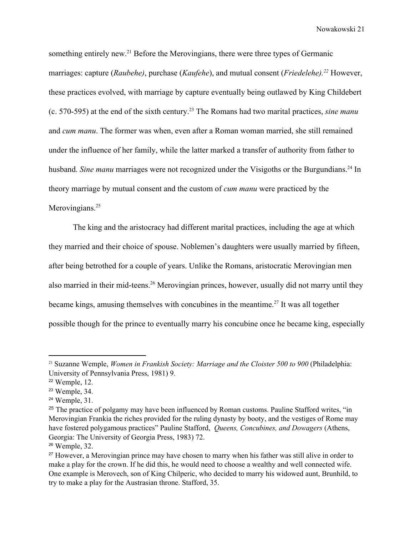something entirely new.<sup>21</sup> Before the Merovingians, there were three types of Germanic marriages: capture (*Raubehe*), purchase (*Kaufehe*), and mutual consent (*Friedelehe*).<sup>22</sup> However, these practices evolved, with marriage by capture eventually being outlawed by King Childebert (c. 570-595) at the end of the sixth century.<sup>23</sup> The Romans had two marital practices, *sine manu* and *cum manu*. The former was when, even after a Roman woman married, she still remained under the influence of her family, while the latter marked a transfer of authority from father to husband. *Sine manu* marriages were not recognized under the Visigoths or the Burgundians.<sup>24</sup> In theory marriage by mutual consent and the custom of *cum manu* were practiced by the Merovingians.<sup>25</sup>

The king and the aristocracy had different marital practices, including the age at which they married and their choice of spouse. Noblemen's daughters were usually married by fifteen, after being betrothed for a couple of years. Unlike the Romans, aristocratic Merovingian men also married in their mid-teens.<sup>26</sup> Merovingian princes, however, usually did not marry until they became kings, amusing themselves with concubines in the meantime.<sup>27</sup> It was all together possible though for the prince to eventually marry his concubine once he became king, especially

<sup>21</sup> Suzanne Wemple, *Women in Frankish Society: Marriage and the Cloister 500 to 900* (Philadelphia: University of Pennsylvania Press, 1981) 9.

<sup>22</sup> Wemple, 12.

<sup>23</sup> Wemple, 34.

<sup>24</sup> Wemple, 31.

<sup>&</sup>lt;sup>25</sup> The practice of polgamy may have been influenced by Roman customs. Pauline Stafford writes, "in Merovingian Frankia the riches provided for the ruling dynasty by booty, and the vestiges of Rome may have fostered polygamous practices" Pauline Stafford, *Queens, Concubines, and Dowagers* (Athens, Georgia: The University of Georgia Press, 1983) 72.

<sup>26</sup> Wemple, 32.

<sup>&</sup>lt;sup>27</sup> However, a Merovingian prince may have chosen to marry when his father was still alive in order to make a play for the crown. If he did this, he would need to choose a wealthy and well connected wife. One example is Merovech, son of King Chilperic, who decided to marry his widowed aunt, Brunhild, to try to make a play for the Austrasian throne. Stafford, 35.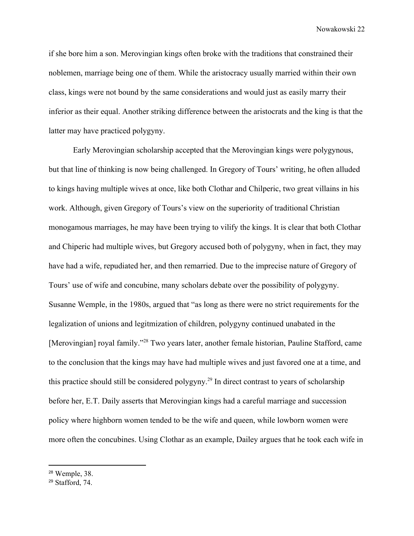if she bore him a son. Merovingian kings often broke with the traditions that constrained their noblemen, marriage being one of them. While the aristocracy usually married within their own class, kings were not bound by the same considerations and would just as easily marry their inferior as their equal. Another striking difference between the aristocrats and the king is that the latter may have practiced polygyny.

Early Merovingian scholarship accepted that the Merovingian kings were polygynous, but that line of thinking is now being challenged. In Gregory of Tours' writing, he often alluded to kings having multiple wives at once, like both Clothar and Chilperic, two great villains in his work. Although, given Gregory of Tours's view on the superiority of traditional Christian monogamous marriages, he may have been trying to vilify the kings. It is clear that both Clothar and Chiperic had multiple wives, but Gregory accused both of polygyny, when in fact, they may have had a wife, repudiated her, and then remarried. Due to the imprecise nature of Gregory of Tours' use of wife and concubine, many scholars debate over the possibility of polygyny. Susanne Wemple, in the 1980s, argued that "as long as there were no strict requirements for the legalization of unions and legitmization of children, polygyny continued unabated in the [Merovingian] royal family."<sup>28</sup> Two years later, another female historian, Pauline Stafford, came to the conclusion that the kings may have had multiple wives and just favored one at a time, and this practice should still be considered polygyny.<sup>29</sup> In direct contrast to years of scholarship before her, E.T. Daily asserts that Merovingian kings had a careful marriage and succession policy where highborn women tended to be the wife and queen, while lowborn women were more often the concubines. Using Clothar as an example, Dailey argues that he took each wife in

<sup>28</sup> Wemple, 38.

<sup>29</sup> Stafford, 74.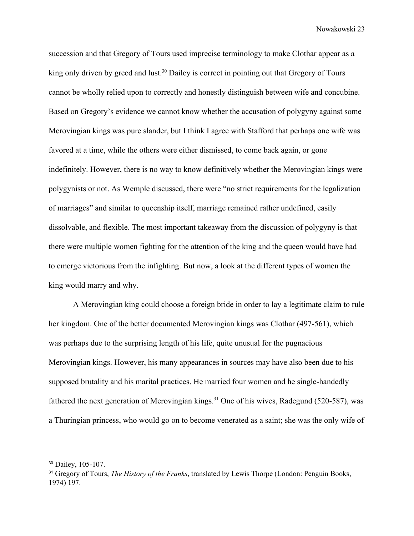succession and that Gregory of Tours used imprecise terminology to make Clothar appear as a king only driven by greed and lust.<sup>30</sup> Dailey is correct in pointing out that Gregory of Tours cannot be wholly relied upon to correctly and honestly distinguish between wife and concubine. Based on Gregory's evidence we cannot know whether the accusation of polygyny against some Merovingian kings was pure slander, but I think I agree with Stafford that perhaps one wife was favored at a time, while the others were either dismissed, to come back again, or gone indefinitely. However, there is no way to know definitively whether the Merovingian kings were polygynists or not. As Wemple discussed, there were "no strict requirements for the legalization of marriages" and similar to queenship itself, marriage remained rather undefined, easily dissolvable, and flexible. The most important takeaway from the discussion of polygyny is that there were multiple women fighting for the attention of the king and the queen would have had to emerge victorious from the infighting. But now, a look at the different types of women the king would marry and why.

A Merovingian king could choose a foreign bride in order to lay a legitimate claim to rule her kingdom. One of the better documented Merovingian kings was Clothar (497-561), which was perhaps due to the surprising length of his life, quite unusual for the pugnacious Merovingian kings. However, his many appearances in sources may have also been due to his supposed brutality and his marital practices. He married four women and he single-handedly fathered the next generation of Merovingian kings.<sup>31</sup> One of his wives, Radegund (520-587), was a Thuringian princess, who would go on to become venerated as a saint; she was the only wife of

<sup>30</sup> Dailey, 105-107.

<sup>31</sup> Gregory of Tours, *The History of the Franks*, translated by Lewis Thorpe (London: Penguin Books, 1974) 197.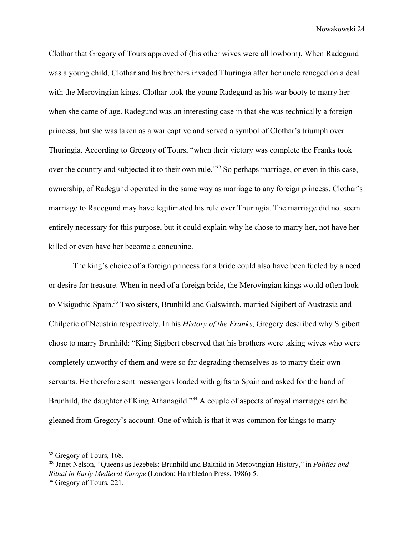Clothar that Gregory of Tours approved of (his other wives were all lowborn). When Radegund was a young child, Clothar and his brothers invaded Thuringia after her uncle reneged on a deal with the Merovingian kings. Clothar took the young Radegund as his war booty to marry her when she came of age. Radegund was an interesting case in that she was technically a foreign princess, but she was taken as a war captive and served a symbol of Clothar's triumph over Thuringia. According to Gregory of Tours, "when their victory was complete the Franks took over the country and subjected it to their own rule.<sup>33</sup> So perhaps marriage, or even in this case, ownership, of Radegund operated in the same way as marriage to any foreign princess. Clothar's marriage to Radegund may have legitimated his rule over Thuringia. The marriage did not seem entirely necessary for this purpose, but it could explain why he chose to marry her, not have her killed or even have her become a concubine.

The king's choice of a foreign princess for a bride could also have been fueled by a need or desire for treasure. When in need of a foreign bride, the Merovingian kings would often look to Visigothic Spain.<sup>33</sup> Two sisters, Brunhild and Galswinth, married Sigibert of Austrasia and Chilperic of Neustria respectively. In his *History of the Franks*, Gregory described why Sigibert chose to marry Brunhild: "King Sigibert observed that his brothers were taking wives who were completely unworthy of them and were so far degrading themselves as to marry their own servants. He therefore sent messengers loaded with gifts to Spain and asked for the hand of Brunhild, the daughter of King Athanagild."<sup>34</sup> A couple of aspects of royal marriages can be gleaned from Gregory's account. One of which is that it was common for kings to marry

<sup>&</sup>lt;sup>32</sup> Gregory of Tours, 168.

<sup>33</sup> Janet Nelson, "Queens as Jezebels: Brunhild and Balthild in Merovingian History," in *Politics and Ritual in Early Medieval Europe* (London: Hambledon Press, 1986) 5. <sup>34</sup> Gregory of Tours, 221.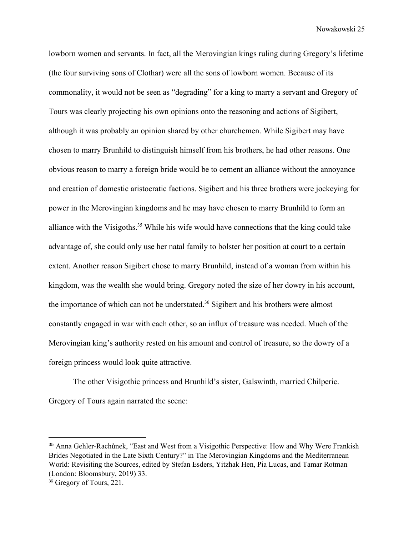lowborn women and servants. In fact, all the Merovingian kings ruling during Gregory's lifetime (the four surviving sons of Clothar) were all the sons of lowborn women. Because of its commonality, it would not be seen as "degrading" for a king to marry a servant and Gregory of Tours was clearly projecting his own opinions onto the reasoning and actions of Sigibert, although it was probably an opinion shared by other churchemen. While Sigibert may have chosen to marry Brunhild to distinguish himself from his brothers, he had other reasons. One obvious reason to marry a foreign bride would be to cement an alliance without the annoyance and creation of domestic aristocratic factions. Sigibert and his three brothers were jockeying for power in the Merovingian kingdoms and he may have chosen to marry Brunhild to form an alliance with the Visigoths.<sup>35</sup> While his wife would have connections that the king could take advantage of, she could only use her natal family to bolster her position at court to a certain extent. Another reason Sigibert chose to marry Brunhild, instead of a woman from within his kingdom, was the wealth she would bring. Gregory noted the size of her dowry in his account, the importance of which can not be understated.<sup>36</sup> Sigibert and his brothers were almost constantly engaged in war with each other, so an influx of treasure was needed. Much of the Merovingian king's authority rested on his amount and control of treasure, so the dowry of a foreign princess would look quite attractive.

The other Visigothic princess and Brunhild's sister, Galswinth, married Chilperic. Gregory of Tours again narrated the scene:

<sup>35</sup> Anna Gehler-Rachůnek, "East and West from a Visigothic Perspective: How and Why Were Frankish Brides Negotiated in the Late Sixth Century?" in The Merovingian Kingdoms and the Mediterranean World: Revisiting the Sources, edited by Stefan Esders, Yitzhak Hen, Pia Lucas, and Tamar Rotman (London: Bloomsbury, 2019) 33.

<sup>&</sup>lt;sup>36</sup> Gregory of Tours, 221.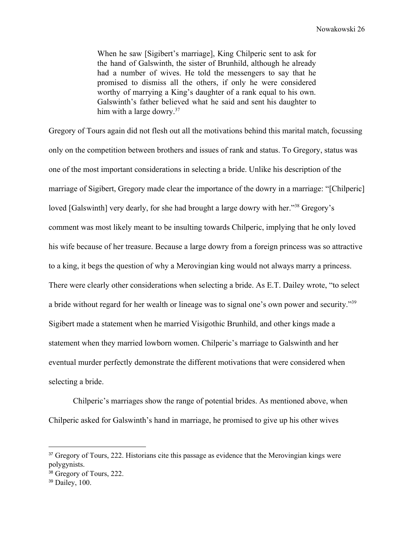When he saw [Sigibert's marriage], King Chilperic sent to ask for the hand of Galswinth, the sister of Brunhild, although he already had a number of wives. He told the messengers to say that he promised to dismiss all the others, if only he were considered worthy of marrying a King's daughter of a rank equal to his own. Galswinth's father believed what he said and sent his daughter to him with a large dowry.<sup>37</sup>

Gregory of Tours again did not flesh out all the motivations behind this marital match, focussing only on the competition between brothers and issues of rank and status. To Gregory, status was one of the most important considerations in selecting a bride. Unlike his description of the marriage of Sigibert, Gregory made clear the importance of the dowry in a marriage: "[Chilperic] loved [Galswinth] very dearly, for she had brought a large dowry with her."<sup>38</sup> Gregory's comment was most likely meant to be insulting towards Chilperic, implying that he only loved his wife because of her treasure. Because a large dowry from a foreign princess was so attractive to a king, it begs the question of why a Merovingian king would not always marry a princess. There were clearly other considerations when selecting a bride. As E.T. Dailey wrote, "to select a bride without regard for her wealth or lineage was to signal one's own power and security."<sup>39</sup> Sigibert made a statement when he married Visigothic Brunhild, and other kings made a statement when they married lowborn women. Chilperic's marriage to Galswinth and her eventual murder perfectly demonstrate the different motivations that were considered when selecting a bride.

Chilperic's marriages show the range of potential brides. As mentioned above, when Chilperic asked for Galswinth's hand in marriage, he promised to give up his other wives

<sup>&</sup>lt;sup>37</sup> Gregory of Tours, 222. Historians cite this passage as evidence that the Merovingian kings were polygynists.

<sup>&</sup>lt;sup>38</sup> Gregory of Tours, 222.

<sup>39</sup> Dailey, 100.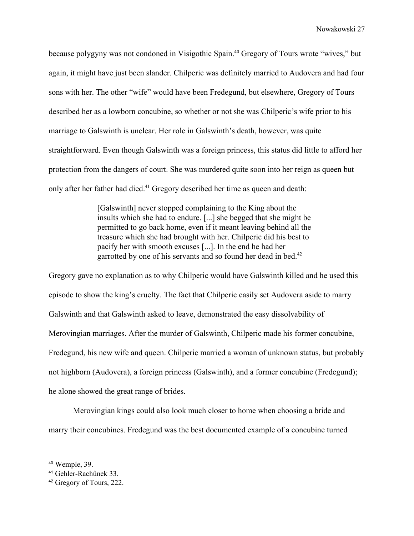because polygyny was not condoned in Visigothic Spain.<sup>40</sup> Gregory of Tours wrote "wives," but again, it might have just been slander. Chilperic was definitely married to Audovera and had four sons with her. The other "wife" would have been Fredegund, but elsewhere, Gregory of Tours described her as a lowborn concubine, so whether or not she was Chilperic's wife prior to his marriage to Galswinth is unclear. Her role in Galswinth's death, however, was quite straightforward. Even though Galswinth was a foreign princess, this status did little to afford her protection from the dangers of court. She was murdered quite soon into her reign as queen but only after her father had died.<sup>41</sup> Gregory described her time as queen and death:

> [Galswinth] never stopped complaining to the King about the insults which she had to endure. [...] she begged that she might be permitted to go back home, even if it meant leaving behind all the treasure which she had brought with her. Chilperic did his best to pacify her with smooth excuses [...]. In the end he had her garrotted by one of his servants and so found her dead in bed.<sup>42</sup>

Gregory gave no explanation as to why Chilperic would have Galswinth killed and he used this episode to show the king's cruelty. The fact that Chilperic easily set Audovera aside to marry Galswinth and that Galswinth asked to leave, demonstrated the easy dissolvability of Merovingian marriages. After the murder of Galswinth, Chilperic made his former concubine, Fredegund, his new wife and queen. Chilperic married a woman of unknown status, but probably not highborn (Audovera), a foreign princess (Galswinth), and a former concubine (Fredegund); he alone showed the great range of brides.

Merovingian kings could also look much closer to home when choosing a bride and marry their concubines. Fredegund was the best documented example of a concubine turned

<sup>40</sup> Wemple, 39.

<sup>41</sup> Gehler-Rachůnek 33.

<sup>42</sup> Gregory of Tours, 222.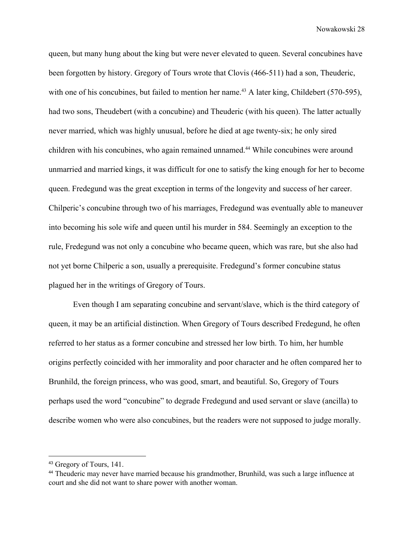queen, but many hung about the king but were never elevated to queen. Several concubines have been forgotten by history. Gregory of Tours wrote that Clovis (466-511) had a son, Theuderic, with one of his concubines, but failed to mention her name.<sup>43</sup> A later king, Childebert (570-595), had two sons, Theudebert (with a concubine) and Theuderic (with his queen). The latter actually never married, which was highly unusual, before he died at age twenty-six; he only sired children with his concubines, who again remained unnamed.<sup>44</sup> While concubines were around unmarried and married kings, it was difficult for one to satisfy the king enough for her to become queen. Fredegund was the great exception in terms of the longevity and success of her career. Chilperic's concubine through two of his marriages, Fredegund was eventually able to maneuver into becoming his sole wife and queen until his murder in 584. Seemingly an exception to the rule, Fredegund was not only a concubine who became queen, which was rare, but she also had not yet borne Chilperic a son, usually a prerequisite. Fredegund's former concubine status plagued her in the writings of Gregory of Tours.

Even though I am separating concubine and servant/slave, which is the third category of queen, it may be an artificial distinction. When Gregory of Tours described Fredegund, he often referred to her status as a former concubine and stressed her low birth. To him, her humble origins perfectly coincided with her immorality and poor character and he often compared her to Brunhild, the foreign princess, who was good, smart, and beautiful. So, Gregory of Tours perhaps used the word "concubine" to degrade Fredegund and used servant or slave (ancilla) to describe women who were also concubines, but the readers were not supposed to judge morally.

<sup>43</sup> Gregory of Tours, 141.

<sup>44</sup> Theuderic may never have married because his grandmother, Brunhild, was such a large influence at court and she did not want to share power with another woman.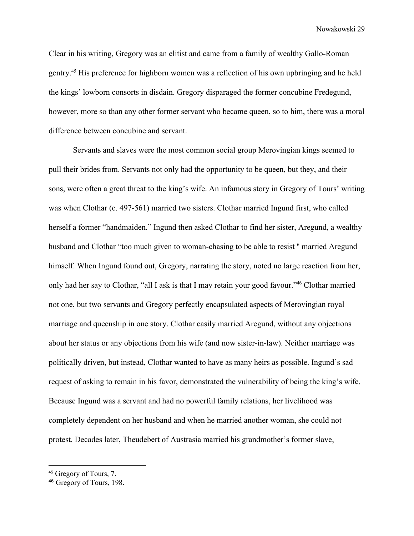Clear in his writing, Gregory was an elitist and came from a family of wealthy Gallo-Roman gentry.<sup>45</sup> His preference for highborn women was a reflection of his own upbringing and he held the kings' lowborn consorts in disdain. Gregory disparaged the former concubine Fredegund, however, more so than any other former servant who became queen, so to him, there was a moral difference between concubine and servant.

Servants and slaves were the most common social group Merovingian kings seemed to pull their brides from. Servants not only had the opportunity to be queen, but they, and their sons, were often a great threat to the king's wife. An infamous story in Gregory of Tours' writing was when Clothar (c. 497-561) married two sisters. Clothar married Ingund first, who called herself a former "handmaiden." Ingund then asked Clothar to find her sister, Aregund, a wealthy husband and Clothar "too much given to woman-chasing to be able to resist '' married Aregund himself. When Ingund found out, Gregory, narrating the story, noted no large reaction from her, only had her say to Clothar, "all I ask is that I may retain your good favour."<sup>46</sup> Clothar married not one, but two servants and Gregory perfectly encapsulated aspects of Merovingian royal marriage and queenship in one story. Clothar easily married Aregund, without any objections about her status or any objections from his wife (and now sister-in-law). Neither marriage was politically driven, but instead, Clothar wanted to have as many heirs as possible. Ingund's sad request of asking to remain in his favor, demonstrated the vulnerability of being the king's wife. Because Ingund was a servant and had no powerful family relations, her livelihood was completely dependent on her husband and when he married another woman, she could not protest. Decades later, Theudebert of Austrasia married his grandmother's former slave,

<sup>45</sup> Gregory of Tours, 7.

<sup>46</sup> Gregory of Tours, 198.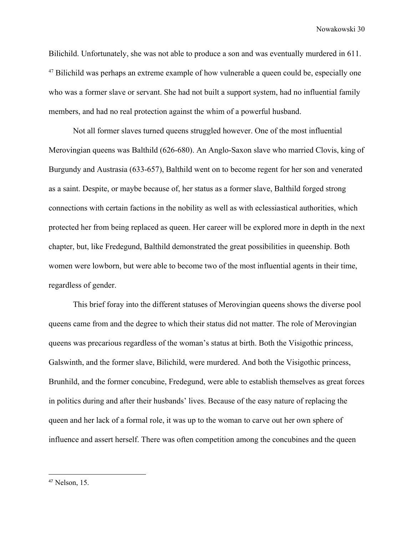Bilichild. Unfortunately, she was not able to produce a son and was eventually murdered in 611.  $47$  Bilichild was perhaps an extreme example of how vulnerable a queen could be, especially one who was a former slave or servant. She had not built a support system, had no influential family members, and had no real protection against the whim of a powerful husband.

Not all former slaves turned queens struggled however. One of the most influential Merovingian queens was Balthild (626-680). An Anglo-Saxon slave who married Clovis, king of Burgundy and Austrasia (633-657), Balthild went on to become regent for her son and venerated as a saint. Despite, or maybe because of, her status as a former slave, Balthild forged strong connections with certain factions in the nobility as well as with eclessiastical authorities, which protected her from being replaced as queen. Her career will be explored more in depth in the next chapter, but, like Fredegund, Balthild demonstrated the great possibilities in queenship. Both women were lowborn, but were able to become two of the most influential agents in their time, regardless of gender.

This brief foray into the different statuses of Merovingian queens shows the diverse pool queens came from and the degree to which their status did not matter. The role of Merovingian queens was precarious regardless of the woman's status at birth. Both the Visigothic princess, Galswinth, and the former slave, Bilichild, were murdered. And both the Visigothic princess, Brunhild, and the former concubine, Fredegund, were able to establish themselves as great forces in politics during and after their husbands' lives. Because of the easy nature of replacing the queen and her lack of a formal role, it was up to the woman to carve out her own sphere of influence and assert herself. There was often competition among the concubines and the queen

<sup>47</sup> Nelson, 15.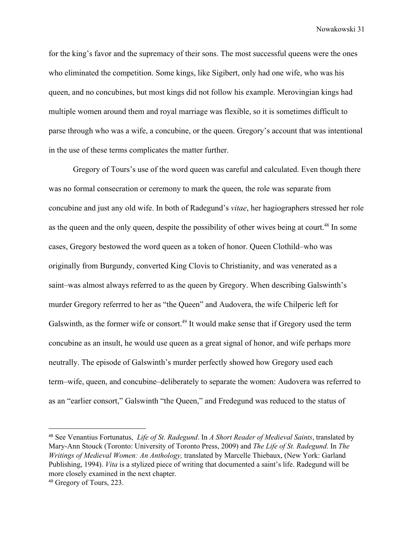for the king's favor and the supremacy of their sons. The most successful queens were the ones who eliminated the competition. Some kings, like Sigibert, only had one wife, who was his queen, and no concubines, but most kings did not follow his example. Merovingian kings had multiple women around them and royal marriage was flexible, so it is sometimes difficult to parse through who was a wife, a concubine, or the queen. Gregory's account that was intentional in the use of these terms complicates the matter further.

Gregory of Tours's use of the word queen was careful and calculated. Even though there was no formal consecration or ceremony to mark the queen, the role was separate from concubine and just any old wife. In both of Radegund's *vitae*, her hagiographers stressed her role as the queen and the only queen, despite the possibility of other wives being at court.<sup>48</sup> In some cases, Gregory bestowed the word queen as a token of honor. Queen Clothild–who was originally from Burgundy, converted King Clovis to Christianity, and was venerated as a saint–was almost always referred to as the queen by Gregory. When describing Galswinth's murder Gregory referrred to her as "the Queen" and Audovera, the wife Chilperic left for Galswinth, as the former wife or consort.<sup>49</sup> It would make sense that if Gregory used the term concubine as an insult, he would use queen as a great signal of honor, and wife perhaps more neutrally. The episode of Galswinth's murder perfectly showed how Gregory used each term–wife, queen, and concubine–deliberately to separate the women: Audovera was referred to as an "earlier consort," Galswinth "the Queen," and Fredegund was reduced to the status of

<sup>48</sup> See Venantius Fortunatus, *Life of St. Radegund*. In *A Short Reader of Medieval Saints*, translated by Mary-Ann Stouck (Toronto: University of Toronto Press, 2009) and *The Life of St. Radegund*. In *The Writings of Medieval Women: An Anthology,* translated by Marcelle Thiebaux, (New York: Garland Publishing, 1994). *Vita* is a stylized piece of writing that documented a saint's life. Radegund will be more closely examined in the next chapter.

<sup>49</sup> Gregory of Tours, 223.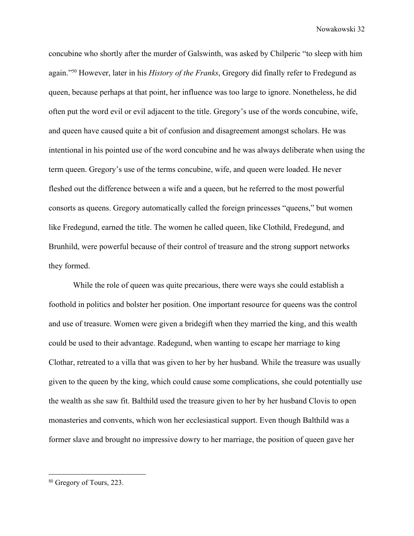concubine who shortly after the murder of Galswinth, was asked by Chilperic "to sleep with him again."<sup>50</sup> However, later in his *History of the Franks*, Gregory did finally refer to Fredegund as queen, because perhaps at that point, her influence was too large to ignore. Nonetheless, he did often put the word evil or evil adjacent to the title. Gregory's use of the words concubine, wife, and queen have caused quite a bit of confusion and disagreement amongst scholars. He was intentional in his pointed use of the word concubine and he was always deliberate when using the term queen. Gregory's use of the terms concubine, wife, and queen were loaded. He never fleshed out the difference between a wife and a queen, but he referred to the most powerful consorts as queens. Gregory automatically called the foreign princesses "queens," but women like Fredegund, earned the title. The women he called queen, like Clothild, Fredegund, and Brunhild, were powerful because of their control of treasure and the strong support networks they formed.

While the role of queen was quite precarious, there were ways she could establish a foothold in politics and bolster her position. One important resource for queens was the control and use of treasure. Women were given a bridegift when they married the king, and this wealth could be used to their advantage. Radegund, when wanting to escape her marriage to king Clothar, retreated to a villa that was given to her by her husband. While the treasure was usually given to the queen by the king, which could cause some complications, she could potentially use the wealth as she saw fit. Balthild used the treasure given to her by her husband Clovis to open monasteries and convents, which won her ecclesiastical support. Even though Balthild was a former slave and brought no impressive dowry to her marriage, the position of queen gave her

<sup>50</sup> Gregory of Tours, 223.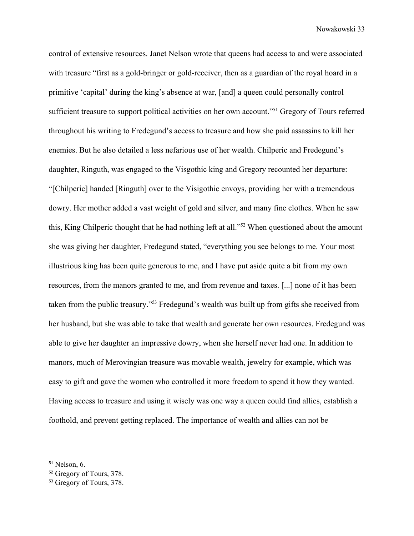control of extensive resources. Janet Nelson wrote that queens had access to and were associated with treasure "first as a gold-bringer or gold-receiver, then as a guardian of the royal hoard in a primitive 'capital' during the king's absence at war, [and] a queen could personally control sufficient treasure to support political activities on her own account."<sup>51</sup> Gregory of Tours referred throughout his writing to Fredegund's access to treasure and how she paid assassins to kill her enemies. But he also detailed a less nefarious use of her wealth. Chilperic and Fredegund's daughter, Ringuth, was engaged to the Visgothic king and Gregory recounted her departure: "[Chilperic] handed [Ringuth] over to the Visigothic envoys, providing her with a tremendous dowry. Her mother added a vast weight of gold and silver, and many fine clothes. When he saw this, King Chilperic thought that he had nothing left at all."<sup>52</sup> When questioned about the amount she was giving her daughter, Fredegund stated, "everything you see belongs to me. Your most illustrious king has been quite generous to me, and I have put aside quite a bit from my own resources, from the manors granted to me, and from revenue and taxes. [...] none of it has been taken from the public treasury."<sup>53</sup> Fredegund's wealth was built up from gifts she received from her husband, but she was able to take that wealth and generate her own resources. Fredegund was able to give her daughter an impressive dowry, when she herself never had one. In addition to manors, much of Merovingian treasure was movable wealth, jewelry for example, which was easy to gift and gave the women who controlled it more freedom to spend it how they wanted. Having access to treasure and using it wisely was one way a queen could find allies, establish a foothold, and prevent getting replaced. The importance of wealth and allies can not be

<sup>51</sup> Nelson, 6.

<sup>52</sup> Gregory of Tours, 378.

<sup>53</sup> Gregory of Tours, 378.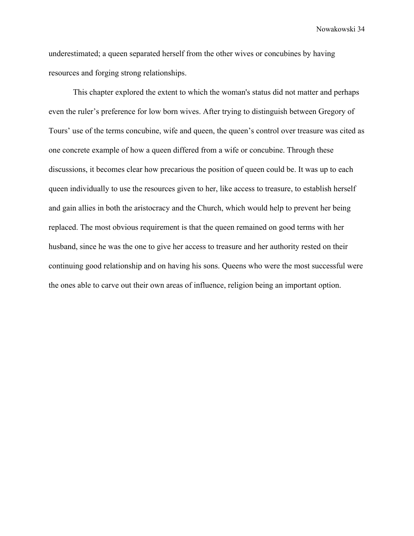underestimated; a queen separated herself from the other wives or concubines by having resources and forging strong relationships.

This chapter explored the extent to which the woman's status did not matter and perhaps even the ruler's preference for low born wives. After trying to distinguish between Gregory of Tours' use of the terms concubine, wife and queen, the queen's control over treasure was cited as one concrete example of how a queen differed from a wife or concubine. Through these discussions, it becomes clear how precarious the position of queen could be. It was up to each queen individually to use the resources given to her, like access to treasure, to establish herself and gain allies in both the aristocracy and the Church, which would help to prevent her being replaced. The most obvious requirement is that the queen remained on good terms with her husband, since he was the one to give her access to treasure and her authority rested on their continuing good relationship and on having his sons. Queens who were the most successful were the ones able to carve out their own areas of influence, religion being an important option.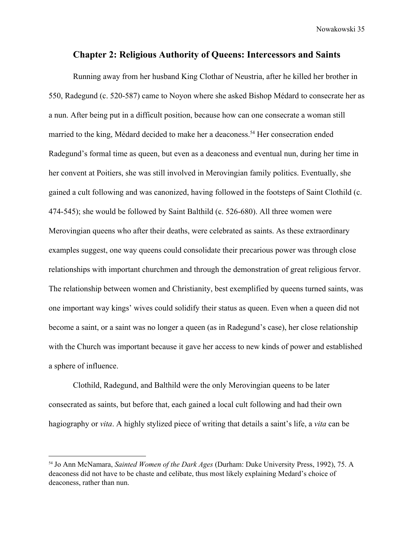#### **Chapter 2: Religious Authority of Queens: Intercessors and Saints**

Running away from her husband King Clothar of Neustria, after he killed her brother in 550, Radegund (c. 520-587) came to Noyon where she asked Bishop Médard to consecrate her as a nun. After being put in a difficult position, because how can one consecrate a woman still married to the king, Médard decided to make her a deaconess.<sup>54</sup> Her consecration ended Radegund's formal time as queen, but even as a deaconess and eventual nun, during her time in her convent at Poitiers, she was still involved in Merovingian family politics. Eventually, she gained a cult following and was canonized, having followed in the footsteps of Saint Clothild (c. 474-545); she would be followed by Saint Balthild (c. 526-680). All three women were Merovingian queens who after their deaths, were celebrated as saints. As these extraordinary examples suggest, one way queens could consolidate their precarious power was through close relationships with important churchmen and through the demonstration of great religious fervor. The relationship between women and Christianity, best exemplified by queens turned saints, was one important way kings' wives could solidify their status as queen. Even when a queen did not become a saint, or a saint was no longer a queen (as in Radegund's case), her close relationship with the Church was important because it gave her access to new kinds of power and established a sphere of influence.

Clothild, Radegund, and Balthild were the only Merovingian queens to be later consecrated as saints, but before that, each gained a local cult following and had their own hagiography or *vita*. A highly stylized piece of writing that details a saint's life, a *vita* can be

<sup>54</sup> Jo Ann McNamara, *Sainted Women of the Dark Ages* (Durham: Duke University Press, 1992), 75. A deaconess did not have to be chaste and celibate, thus most likely explaining Medard's choice of deaconess, rather than nun.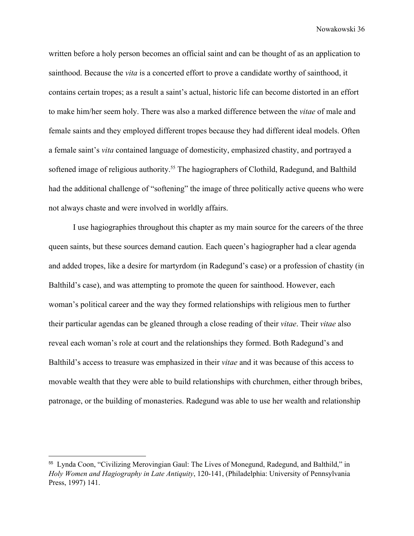written before a holy person becomes an official saint and can be thought of as an application to sainthood. Because the *vita* is a concerted effort to prove a candidate worthy of sainthood, it contains certain tropes; as a result a saint's actual, historic life can become distorted in an effort to make him/her seem holy. There was also a marked difference between the *vitae* of male and female saints and they employed different tropes because they had different ideal models. Often a female saint's *vita* contained language of domesticity, emphasized chastity, and portrayed a softened image of religious authority.<sup>55</sup> The hagiographers of Clothild, Radegund, and Balthild had the additional challenge of "softening" the image of three politically active queens who were not always chaste and were involved in worldly affairs.

I use hagiographies throughout this chapter as my main source for the careers of the three queen saints, but these sources demand caution. Each queen's hagiographer had a clear agenda and added tropes, like a desire for martyrdom (in Radegund's case) or a profession of chastity (in Balthild's case), and was attempting to promote the queen for sainthood. However, each woman's political career and the way they formed relationships with religious men to further their particular agendas can be gleaned through a close reading of their *vitae*. Their *vitae* also reveal each woman's role at court and the relationships they formed. Both Radegund's and Balthild's access to treasure was emphasized in their *vitae* and it was because of this access to movable wealth that they were able to build relationships with churchmen, either through bribes, patronage, or the building of monasteries. Radegund was able to use her wealth and relationship

<sup>55</sup> Lynda Coon, "Civilizing Merovingian Gaul: The Lives of Monegund, Radegund, and Balthild," in *Holy Women and Hagiography in Late Antiquity*, 120-141, (Philadelphia: University of Pennsylvania Press, 1997) 141.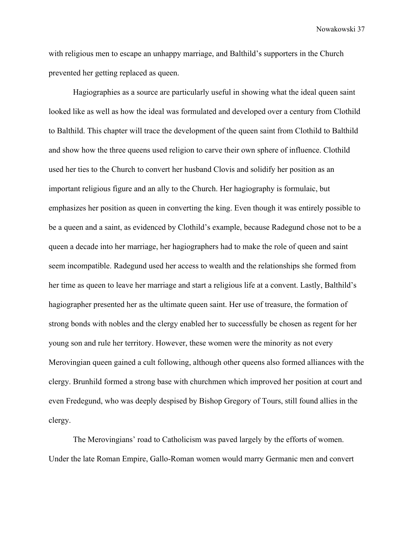with religious men to escape an unhappy marriage, and Balthild's supporters in the Church prevented her getting replaced as queen.

Hagiographies as a source are particularly useful in showing what the ideal queen saint looked like as well as how the ideal was formulated and developed over a century from Clothild to Balthild. This chapter will trace the development of the queen saint from Clothild to Balthild and show how the three queens used religion to carve their own sphere of influence. Clothild used her ties to the Church to convert her husband Clovis and solidify her position as an important religious figure and an ally to the Church. Her hagiography is formulaic, but emphasizes her position as queen in converting the king. Even though it was entirely possible to be a queen and a saint, as evidenced by Clothild's example, because Radegund chose not to be a queen a decade into her marriage, her hagiographers had to make the role of queen and saint seem incompatible. Radegund used her access to wealth and the relationships she formed from her time as queen to leave her marriage and start a religious life at a convent. Lastly, Balthild's hagiographer presented her as the ultimate queen saint. Her use of treasure, the formation of strong bonds with nobles and the clergy enabled her to successfully be chosen as regent for her young son and rule her territory. However, these women were the minority as not every Merovingian queen gained a cult following, although other queens also formed alliances with the clergy. Brunhild formed a strong base with churchmen which improved her position at court and even Fredegund, who was deeply despised by Bishop Gregory of Tours, still found allies in the clergy.

The Merovingians' road to Catholicism was paved largely by the efforts of women. Under the late Roman Empire, Gallo-Roman women would marry Germanic men and convert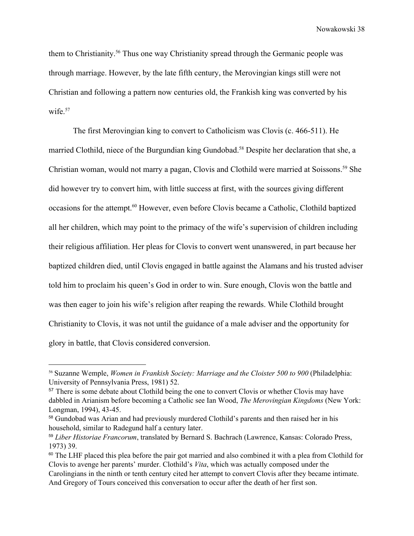them to Christianity.<sup>56</sup> Thus one way Christianity spread through the Germanic people was through marriage. However, by the late fifth century, the Merovingian kings still were not Christian and following a pattern now centuries old, the Frankish king was converted by his wife.<sup>57</sup>

The first Merovingian king to convert to Catholicism was Clovis (c. 466-511). He married Clothild, niece of the Burgundian king Gundobad.<sup>58</sup> Despite her declaration that she, a Christian woman, would not marry a pagan, Clovis and Clothild were married at Soissons.<sup>59</sup> She did however try to convert him, with little success at first, with the sources giving different occasions for the attempt.<sup>60</sup> However, even before Clovis became a Catholic, Clothild baptized all her children, which may point to the primacy of the wife's supervision of children including their religious affiliation. Her pleas for Clovis to convert went unanswered, in part because her baptized children died, until Clovis engaged in battle against the Alamans and his trusted adviser told him to proclaim his queen's God in order to win. Sure enough, Clovis won the battle and was then eager to join his wife's religion after reaping the rewards. While Clothild brought Christianity to Clovis, it was not until the guidance of a male adviser and the opportunity for glory in battle, that Clovis considered conversion.

<sup>56</sup> Suzanne Wemple, *Women in Frankish Society: Marriage and the Cloister 500 to 900* (Philadelphia: University of Pennsylvania Press, 1981) 52.

<sup>&</sup>lt;sup>57</sup> There is some debate about Clothild being the one to convert Clovis or whether Clovis may have dabbled in Arianism before becoming a Catholic see Ian Wood, *The Merovingian Kingdoms* (New York: Longman, 1994), 43-45.

<sup>58</sup> Gundobad was Arian and had previously murdered Clothild's parents and then raised her in his household, similar to Radegund half a century later.

<sup>59</sup> *Liber Historiae Francorum*, translated by Bernard S. Bachrach (Lawrence, Kansas: Colorado Press, 1973) 39.

<sup>&</sup>lt;sup>60</sup> The LHF placed this plea before the pair got married and also combined it with a plea from Clothild for Clovis to avenge her parents' murder. Clothild's *Vita*, which was actually composed under the Carolingians in the ninth or tenth century cited her attempt to convert Clovis after they became intimate.

And Gregory of Tours conceived this conversation to occur after the death of her first son.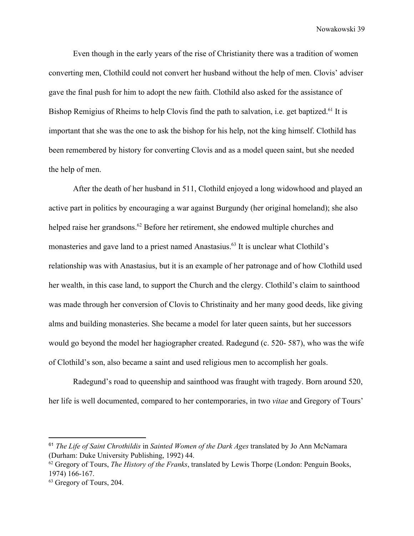Even though in the early years of the rise of Christianity there was a tradition of women converting men, Clothild could not convert her husband without the help of men. Clovis' adviser gave the final push for him to adopt the new faith. Clothild also asked for the assistance of Bishop Remigius of Rheims to help Clovis find the path to salvation, i.e. get baptized.<sup>61</sup> It is important that she was the one to ask the bishop for his help, not the king himself. Clothild has been remembered by history for converting Clovis and as a model queen saint, but she needed the help of men.

After the death of her husband in 511, Clothild enjoyed a long widowhood and played an active part in politics by encouraging a war against Burgundy (her original homeland); she also helped raise her grandsons.<sup>62</sup> Before her retirement, she endowed multiple churches and monasteries and gave land to a priest named Anastasius.<sup>63</sup> It is unclear what Clothild's relationship was with Anastasius, but it is an example of her patronage and of how Clothild used her wealth, in this case land, to support the Church and the clergy. Clothild's claim to sainthood was made through her conversion of Clovis to Christinaity and her many good deeds, like giving alms and building monasteries. She became a model for later queen saints, but her successors would go beyond the model her hagiographer created. Radegund (c. 520- 587), who was the wife of Clothild's son, also became a saint and used religious men to accomplish her goals.

Radegund's road to queenship and sainthood was fraught with tragedy. Born around 520, her life is well documented, compared to her contemporaries, in two *vitae* and Gregory of Tours'

<sup>61</sup> *The Life of Saint Chrothildis* in *Sainted Women of the Dark Ages* translated by Jo Ann McNamara (Durham: Duke University Publishing, 1992) 44.

<sup>62</sup> Gregory of Tours, *The History of the Franks*, translated by Lewis Thorpe (London: Penguin Books, 1974) 166-167.

<sup>63</sup> Gregory of Tours, 204.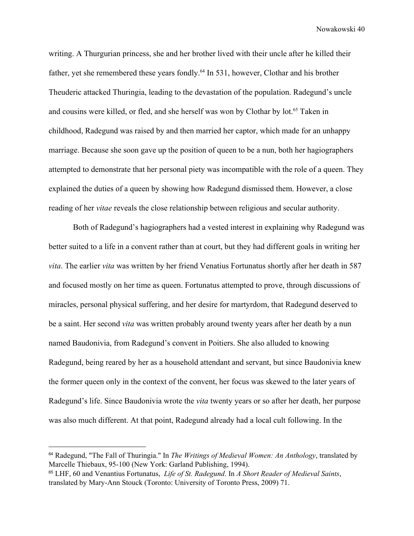writing. A Thurgurian princess, she and her brother lived with their uncle after he killed their father, yet she remembered these years fondly.<sup> $64$ </sup> In 531, however, Clothar and his brother Theuderic attacked Thuringia, leading to the devastation of the population. Radegund's uncle and cousins were killed, or fled, and she herself was won by Clothar by lot.<sup>65</sup> Taken in childhood, Radegund was raised by and then married her captor, which made for an unhappy marriage. Because she soon gave up the position of queen to be a nun, both her hagiographers attempted to demonstrate that her personal piety was incompatible with the role of a queen. They explained the duties of a queen by showing how Radegund dismissed them. However, a close reading of her *vitae* reveals the close relationship between religious and secular authority.

Both of Radegund's hagiographers had a vested interest in explaining why Radegund was better suited to a life in a convent rather than at court, but they had different goals in writing her *vita*. The earlier *vita* was written by her friend Venatius Fortunatus shortly after her death in 587 and focused mostly on her time as queen. Fortunatus attempted to prove, through discussions of miracles, personal physical suffering, and her desire for martyrdom, that Radegund deserved to be a saint. Her second *vita* was written probably around twenty years after her death by a nun named Baudonivia, from Radegund's convent in Poitiers. She also alluded to knowing Radegund, being reared by her as a household attendant and servant, but since Baudonivia knew the former queen only in the context of the convent, her focus was skewed to the later years of Radegund's life. Since Baudonivia wrote the *vita* twenty years or so after her death, her purpose was also much different. At that point, Radegund already had a local cult following. In the

<sup>64</sup> Radegund, "The Fall of Thuringia." In *The Writings of Medieval Women: An Anthology*, translated by Marcelle Thiebaux, 95-100 (New York: Garland Publishing, 1994).

<sup>65</sup> LHF, 60 and Venantius Fortunatus, *Life of St. Radegund*. In *A Short Reader of Medieval Saints*, translated by Mary-Ann Stouck (Toronto: University of Toronto Press, 2009) 71.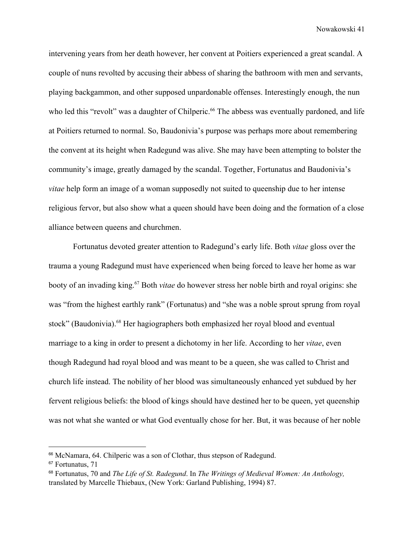intervening years from her death however, her convent at Poitiers experienced a great scandal. A couple of nuns revolted by accusing their abbess of sharing the bathroom with men and servants, playing backgammon, and other supposed unpardonable offenses. Interestingly enough, the nun who led this "revolt" was a daughter of Chilperic.<sup>66</sup> The abbess was eventually pardoned, and life at Poitiers returned to normal. So, Baudonivia's purpose was perhaps more about remembering the convent at its height when Radegund was alive. She may have been attempting to bolster the community's image, greatly damaged by the scandal. Together, Fortunatus and Baudonivia's *vitae* help form an image of a woman supposedly not suited to queenship due to her intense religious fervor, but also show what a queen should have been doing and the formation of a close alliance between queens and churchmen.

Fortunatus devoted greater attention to Radegund's early life. Both *vitae* gloss over the trauma a young Radegund must have experienced when being forced to leave her home as war booty of an invading king.<sup>67</sup> Both *vitae* do however stress her noble birth and royal origins: she was "from the highest earthly rank" (Fortunatus) and "she was a noble sprout sprung from royal stock" (Baudonivia).<sup>68</sup> Her hagiographers both emphasized her royal blood and eventual marriage to a king in order to present a dichotomy in her life. According to her *vitae*, even though Radegund had royal blood and was meant to be a queen, she was called to Christ and church life instead. The nobility of her blood was simultaneously enhanced yet subdued by her fervent religious beliefs: the blood of kings should have destined her to be queen, yet queenship was not what she wanted or what God eventually chose for her. But, it was because of her noble

<sup>66</sup> McNamara, 64. Chilperic was a son of Clothar, thus stepson of Radegund.

<sup>&</sup>lt;sup>67</sup> Fortunatus, 71

<sup>68</sup> Fortunatus, 70 and *The Life of St. Radegund*. In *The Writings of Medieval Women: An Anthology,* translated by Marcelle Thiebaux, (New York: Garland Publishing, 1994) 87.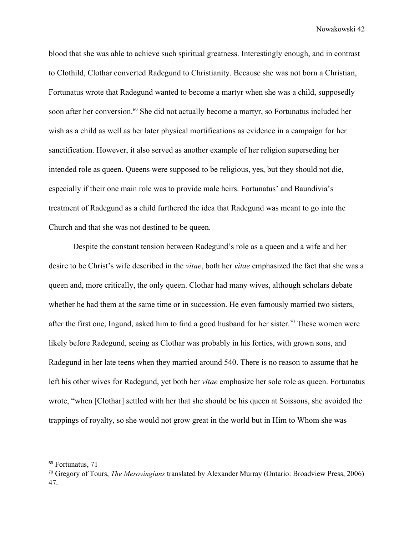blood that she was able to achieve such spiritual greatness. Interestingly enough, and in contrast to Clothild, Clothar converted Radegund to Christianity. Because she was not born a Christian, Fortunatus wrote that Radegund wanted to become a martyr when she was a child, supposedly soon after her conversion.<sup>69</sup> She did not actually become a martyr, so Fortunatus included her wish as a child as well as her later physical mortifications as evidence in a campaign for her sanctification. However, it also served as another example of her religion superseding her intended role as queen. Queens were supposed to be religious, yes, but they should not die, especially if their one main role was to provide male heirs. Fortunatus' and Baundivia's treatment of Radegund as a child furthered the idea that Radegund was meant to go into the Church and that she was not destined to be queen.

Despite the constant tension between Radegund's role as a queen and a wife and her desire to be Christ's wife described in the *vitae*, both her *vitae* emphasized the fact that she was a queen and, more critically, the only queen. Clothar had many wives, although scholars debate whether he had them at the same time or in succession. He even famously married two sisters, after the first one, Ingund, asked him to find a good husband for her sister.<sup>70</sup> These women were likely before Radegund, seeing as Clothar was probably in his forties, with grown sons, and Radegund in her late teens when they married around 540. There is no reason to assume that he left his other wives for Radegund, yet both her *vitae* emphasize her sole role as queen. Fortunatus wrote, "when [Clothar] settled with her that she should be his queen at Soissons, she avoided the trappings of royalty, so she would not grow great in the world but in Him to Whom she was

<sup>&</sup>lt;sup>69</sup> Fortunatus, 71

<sup>70</sup> Gregory of Tours, *The Merovingians* translated by Alexander Murray (Ontario: Broadview Press, 2006) 47.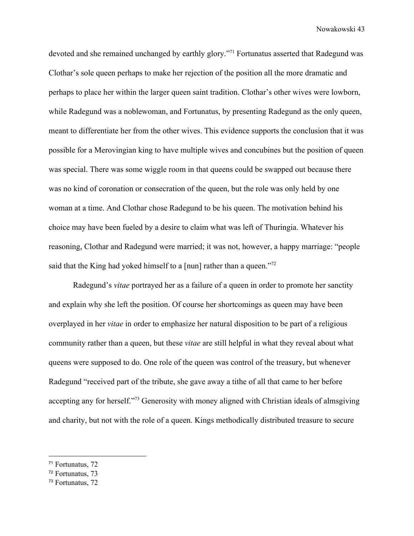devoted and she remained unchanged by earthly glory."<sup>71</sup> Fortunatus asserted that Radegund was Clothar's sole queen perhaps to make her rejection of the position all the more dramatic and perhaps to place her within the larger queen saint tradition. Clothar's other wives were lowborn, while Radegund was a noblewoman, and Fortunatus, by presenting Radegund as the only queen, meant to differentiate her from the other wives. This evidence supports the conclusion that it was possible for a Merovingian king to have multiple wives and concubines but the position of queen was special. There was some wiggle room in that queens could be swapped out because there was no kind of coronation or consecration of the queen, but the role was only held by one woman at a time. And Clothar chose Radegund to be his queen. The motivation behind his choice may have been fueled by a desire to claim what was left of Thuringia. Whatever his reasoning, Clothar and Radegund were married; it was not, however, a happy marriage: "people said that the King had yoked himself to a [nun] rather than a queen."<sup>72</sup>

Radegund's *vitae* portrayed her as a failure of a queen in order to promote her sanctity and explain why she left the position. Of course her shortcomings as queen may have been overplayed in her *vitae* in order to emphasize her natural disposition to be part of a religious community rather than a queen, but these *vitae* are still helpful in what they reveal about what queens were supposed to do. One role of the queen was control of the treasury, but whenever Radegund "received part of the tribute, she gave away a tithe of all that came to her before accepting any for herself."<sup>73</sup> Generosity with money aligned with Christian ideals of almsgiving and charity, but not with the role of a queen. Kings methodically distributed treasure to secure

<sup>71</sup> Fortunatus, 72

<sup>72</sup> Fortunatus, 73

<sup>73</sup> Fortunatus, 72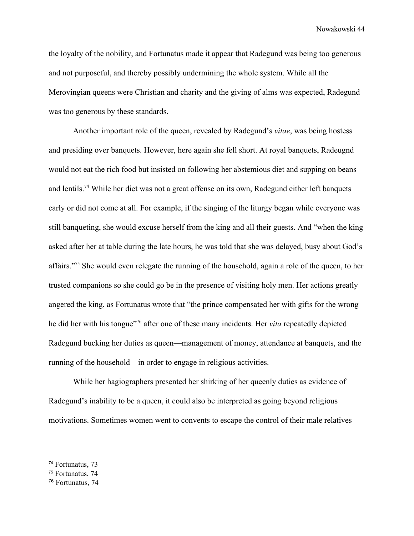the loyalty of the nobility, and Fortunatus made it appear that Radegund was being too generous and not purposeful, and thereby possibly undermining the whole system. While all the Merovingian queens were Christian and charity and the giving of alms was expected, Radegund was too generous by these standards.

Another important role of the queen, revealed by Radegund's *vitae*, was being hostess and presiding over banquets. However, here again she fell short. At royal banquets, Radeugnd would not eat the rich food but insisted on following her abstemious diet and supping on beans and lentils.<sup>74</sup> While her diet was not a great offense on its own, Radegund either left banquets early or did not come at all. For example, if the singing of the liturgy began while everyone was still banqueting, she would excuse herself from the king and all their guests. And "when the king asked after her at table during the late hours, he was told that she was delayed, busy about God's affairs."<sup>75</sup> She would even relegate the running of the household, again a role of the queen, to her trusted companions so she could go be in the presence of visiting holy men. Her actions greatly angered the king, as Fortunatus wrote that "the prince compensated her with gifts for the wrong he did her with his tongue"<sup>76</sup> after one of these many incidents. Her *vita* repeatedly depicted Radegund bucking her duties as queen—management of money, attendance at banquets, and the running of the household—in order to engage in religious activities.

While her hagiographers presented her shirking of her queenly duties as evidence of Radegund's inability to be a queen, it could also be interpreted as going beyond religious motivations. Sometimes women went to convents to escape the control of their male relatives

<sup>74</sup> Fortunatus, 73

<sup>75</sup> Fortunatus, 74

<sup>76</sup> Fortunatus, 74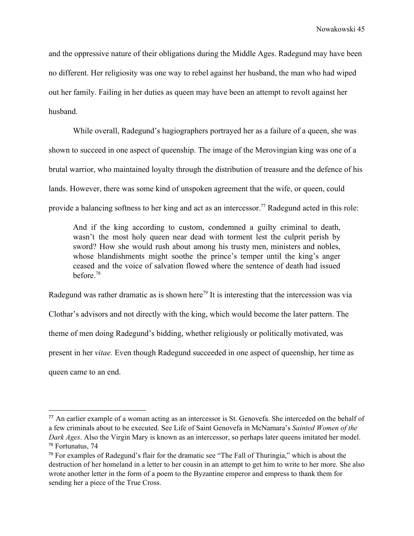and the oppressive nature of their obligations during the Middle Ages. Radegund may have been no different. Her religiosity was one way to rebel against her husband, the man who had wiped out her family. Failing in her duties as queen may have been an attempt to revolt against her husband.

While overall, Radegund's hagiographers portrayed her as a failure of a queen, she was shown to succeed in one aspect of queenship. The image of the Merovingian king was one of a brutal warrior, who maintained loyalty through the distribution of treasure and the defence of his lands. However, there was some kind of unspoken agreement that the wife, or queen, could provide a balancing softness to her king and act as an intercessor.<sup>77</sup> Radegund acted in this role:

And if the king according to custom, condemned a guilty criminal to death, wasn't the most holy queen near dead with torment lest the culprit perish by sword? How she would rush about among his trusty men, ministers and nobles, whose blandishments might soothe the prince's temper until the king's anger ceased and the voice of salvation flowed where the sentence of death had issued before  $78$ 

Radegund was rather dramatic as is shown here<sup>79</sup> It is interesting that the intercession was via Clothar's advisors and not directly with the king, which would become the later pattern. The theme of men doing Radegund's bidding, whether religiously or politically motivated, was present in her *vitae.* Even though Radegund succeeded in one aspect of queenship, her time as queen came to an end.

<sup>77</sup> An earlier example of a woman acting as an intercessor is St. Genovefa. She interceded on the behalf of a few criminals about to be executed. See Life of Saint Genovefa in McNamara's *Sainted Women of the Dark Ages*. Also the Virgin Mary is known as an intercessor, so perhaps later queens imitated her model. <sup>78</sup> Fortunatus, 74

<sup>79</sup> For examples of Radegund's flair for the dramatic see "The Fall of Thuringia," which is about the destruction of her homeland in a letter to her cousin in an attempt to get him to write to her more. She also wrote another letter in the form of a poem to the Byzantine emperor and empress to thank them for sending her a piece of the True Cross.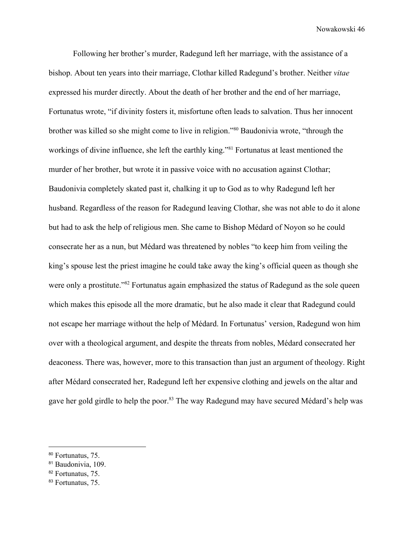Following her brother's murder, Radegund left her marriage, with the assistance of a bishop. About ten years into their marriage, Clothar killed Radegund's brother. Neither *vitae* expressed his murder directly. About the death of her brother and the end of her marriage, Fortunatus wrote, "if divinity fosters it, misfortune often leads to salvation. Thus her innocent brother was killed so she might come to live in religion."<sup>80</sup> Baudonivia wrote, "through the workings of divine influence, she left the earthly king."<sup>81</sup> Fortunatus at least mentioned the murder of her brother, but wrote it in passive voice with no accusation against Clothar; Baudonivia completely skated past it, chalking it up to God as to why Radegund left her husband. Regardless of the reason for Radegund leaving Clothar, she was not able to do it alone but had to ask the help of religious men. She came to Bishop Médard of Noyon so he could consecrate her as a nun, but Médard was threatened by nobles "to keep him from veiling the king's spouse lest the priest imagine he could take away the king's official queen as though she were only a prostitute."<sup>82</sup> Fortunatus again emphasized the status of Radegund as the sole queen which makes this episode all the more dramatic, but he also made it clear that Radegund could not escape her marriage without the help of Médard. In Fortunatus' version, Radegund won him over with a theological argument, and despite the threats from nobles, Médard consecrated her deaconess. There was, however, more to this transaction than just an argument of theology. Right after Médard consecrated her, Radegund left her expensive clothing and jewels on the altar and gave her gold girdle to help the poor.<sup>83</sup> The way Radegund may have secured Médard's help was

<sup>82</sup> Fortunatus, 75.

<sup>80</sup> Fortunatus, 75.

<sup>81</sup> Baudonivia, 109.

<sup>&</sup>lt;sup>83</sup> Fortunatus, 75.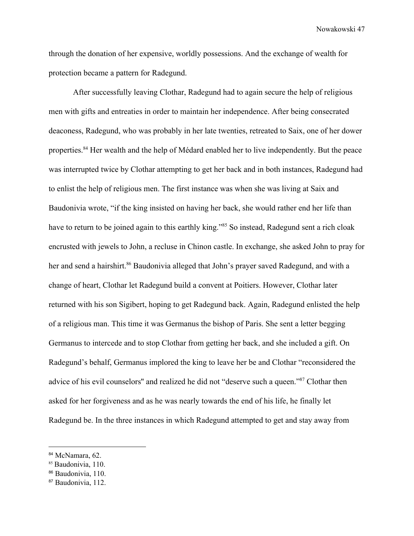through the donation of her expensive, worldly possessions. And the exchange of wealth for protection became a pattern for Radegund.

After successfully leaving Clothar, Radegund had to again secure the help of religious men with gifts and entreaties in order to maintain her independence. After being consecrated deaconess, Radegund, who was probably in her late twenties, retreated to Saix, one of her dower properties.<sup>84</sup> Her wealth and the help of Médard enabled her to live independently. But the peace was interrupted twice by Clothar attempting to get her back and in both instances, Radegund had to enlist the help of religious men. The first instance was when she was living at Saix and Baudonivia wrote, "if the king insisted on having her back, she would rather end her life than have to return to be joined again to this earthly king."<sup>85</sup> So instead, Radegund sent a rich cloak encrusted with jewels to John, a recluse in Chinon castle. In exchange, she asked John to pray for her and send a hairshirt.<sup>86</sup> Baudonivia alleged that John's prayer saved Radegund, and with a change of heart, Clothar let Radegund build a convent at Poitiers. However, Clothar later returned with his son Sigibert, hoping to get Radegund back. Again, Radegund enlisted the help of a religious man. This time it was Germanus the bishop of Paris. She sent a letter begging Germanus to intercede and to stop Clothar from getting her back, and she included a gift. On Radegund's behalf, Germanus implored the king to leave her be and Clothar "reconsidered the advice of his evil counselors" and realized he did not "deserve such a queen."<sup>87</sup> Clothar then asked for her forgiveness and as he was nearly towards the end of his life, he finally let Radegund be. In the three instances in which Radegund attempted to get and stay away from

<sup>84</sup> McNamara, 62.

<sup>&</sup>lt;sup>85</sup> Baudonivia, 110.

<sup>86</sup> Baudonivia, 110.

<sup>87</sup> Baudonivia, 112.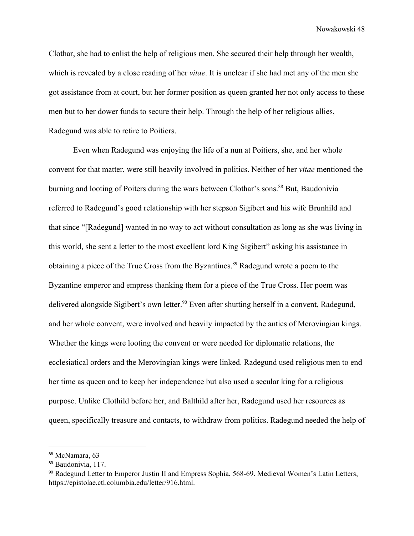Clothar, she had to enlist the help of religious men. She secured their help through her wealth, which is revealed by a close reading of her *vitae*. It is unclear if she had met any of the men she got assistance from at court, but her former position as queen granted her not only access to these men but to her dower funds to secure their help. Through the help of her religious allies, Radegund was able to retire to Poitiers.

Even when Radegund was enjoying the life of a nun at Poitiers, she, and her whole convent for that matter, were still heavily involved in politics. Neither of her *vitae* mentioned the burning and looting of Poiters during the wars between Clothar's sons.<sup>88</sup> But, Baudonivia referred to Radegund's good relationship with her stepson Sigibert and his wife Brunhild and that since "[Radegund] wanted in no way to act without consultation as long as she was living in this world, she sent a letter to the most excellent lord King Sigibert" asking his assistance in obtaining a piece of the True Cross from the Byzantines.<sup>89</sup> Radegund wrote a poem to the Byzantine emperor and empress thanking them for a piece of the True Cross. Her poem was delivered alongside Sigibert's own letter.<sup>90</sup> Even after shutting herself in a convent, Radegund, and her whole convent, were involved and heavily impacted by the antics of Merovingian kings. Whether the kings were looting the convent or were needed for diplomatic relations, the ecclesiatical orders and the Merovingian kings were linked. Radegund used religious men to end her time as queen and to keep her independence but also used a secular king for a religious purpose. Unlike Clothild before her, and Balthild after her, Radegund used her resources as queen, specifically treasure and contacts, to withdraw from politics. Radegund needed the help of

<sup>88</sup> McNamara, 63

<sup>89</sup> Baudonivia, 117.

<sup>90</sup> Radegund Letter to Emperor Justin II and Empress Sophia, 568-69. Medieval Women's Latin Letters, https://epistolae.ctl.columbia.edu/letter/916.html.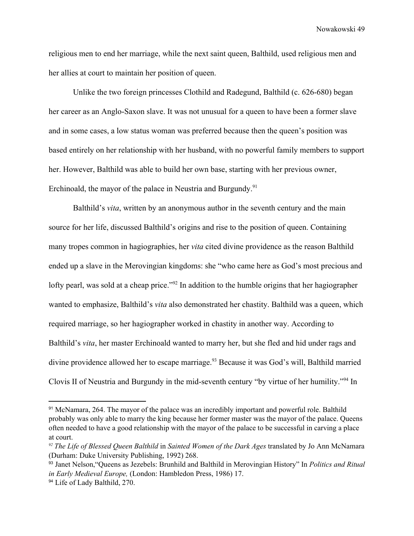religious men to end her marriage, while the next saint queen, Balthild, used religious men and her allies at court to maintain her position of queen.

Unlike the two foreign princesses Clothild and Radegund, Balthild (c. 626-680) began her career as an Anglo-Saxon slave. It was not unusual for a queen to have been a former slave and in some cases, a low status woman was preferred because then the queen's position was based entirely on her relationship with her husband, with no powerful family members to support her. However, Balthild was able to build her own base, starting with her previous owner, Erchinoald, the mayor of the palace in Neustria and Burgundy.<sup>91</sup>

Balthild's *vita*, written by an anonymous author in the seventh century and the main source for her life, discussed Balthild's origins and rise to the position of queen. Containing many tropes common in hagiographies, her *vita* cited divine providence as the reason Balthild ended up a slave in the Merovingian kingdoms: she "who came here as God's most precious and lofty pearl, was sold at a cheap price."<sup>92</sup> In addition to the humble origins that her hagiographer wanted to emphasize, Balthild's *vita* also demonstrated her chastity. Balthild was a queen, which required marriage, so her hagiographer worked in chastity in another way. According to Balthild's *vita*, her master Erchinoald wanted to marry her, but she fled and hid under rags and divine providence allowed her to escape marriage.<sup>93</sup> Because it was God's will, Balthild married Clovis II of Neustria and Burgundy in the mid-seventh century "by virtue of her humility."<sup>94</sup> In

<sup>&</sup>lt;sup>91</sup> McNamara, 264. The mayor of the palace was an incredibly important and powerful role. Balthild probably was only able to marry the king because her former master was the mayor of the palace. Queens often needed to have a good relationship with the mayor of the palace to be successful in carving a place at court.

*<sup>92</sup> The Life of Blessed Queen Balthild* in *Sainted Women of the Dark Ages* translated by Jo Ann McNamara (Durham: Duke University Publishing, 1992) 268.

<sup>93</sup> Janet Nelson,"Queens as Jezebels: Brunhild and Balthild in Merovingian History" In *Politics and Ritual in Early Medieval Europe,* (London: Hambledon Press, 1986) 17.

<sup>&</sup>lt;sup>94</sup> Life of Lady Balthild, 270.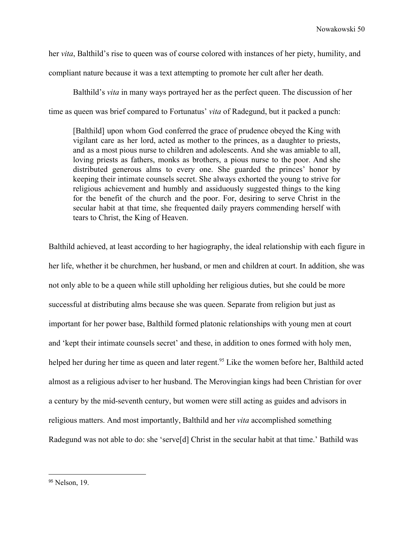her *vita*, Balthild's rise to queen was of course colored with instances of her piety, humility, and compliant nature because it was a text attempting to promote her cult after her death.

Balthild's *vita* in many ways portrayed her as the perfect queen. The discussion of her time as queen was brief compared to Fortunatus' *vita* of Radegund, but it packed a punch:

[Balthild] upon whom God conferred the grace of prudence obeyed the King with vigilant care as her lord, acted as mother to the princes, as a daughter to priests, and as a most pious nurse to children and adolescents. And she was amiable to all, loving priests as fathers, monks as brothers, a pious nurse to the poor. And she distributed generous alms to every one. She guarded the princes' honor by keeping their intimate counsels secret. She always exhorted the young to strive for religious achievement and humbly and assiduously suggested things to the king for the benefit of the church and the poor. For, desiring to serve Christ in the secular habit at that time, she frequented daily prayers commending herself with tears to Christ, the King of Heaven.

Balthild achieved, at least according to her hagiography, the ideal relationship with each figure in her life, whether it be churchmen, her husband, or men and children at court. In addition, she was not only able to be a queen while still upholding her religious duties, but she could be more successful at distributing alms because she was queen. Separate from religion but just as important for her power base, Balthild formed platonic relationships with young men at court and 'kept their intimate counsels secret' and these, in addition to ones formed with holy men, helped her during her time as queen and later regent.<sup>95</sup> Like the women before her, Balthild acted almost as a religious adviser to her husband. The Merovingian kings had been Christian for over a century by the mid-seventh century, but women were still acting as guides and advisors in religious matters. And most importantly, Balthild and her *vita* accomplished something Radegund was not able to do: she 'serve[d] Christ in the secular habit at that time.' Bathild was

<sup>&</sup>lt;sup>95</sup> Nelson, 19.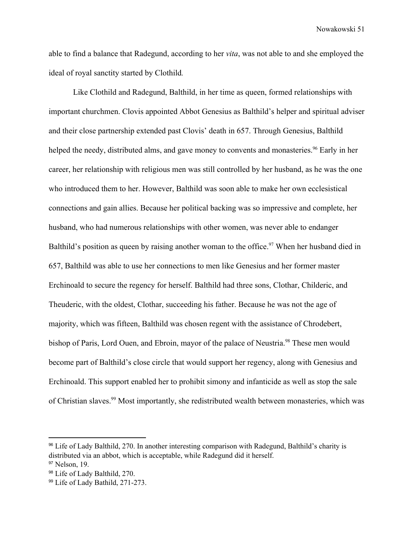able to find a balance that Radegund, according to her *vita*, was not able to and she employed the ideal of royal sanctity started by Clothild*.*

Like Clothild and Radegund, Balthild, in her time as queen, formed relationships with important churchmen. Clovis appointed Abbot Genesius as Balthild's helper and spiritual adviser and their close partnership extended past Clovis' death in 657. Through Genesius, Balthild helped the needy, distributed alms, and gave money to convents and monasteries.<sup>96</sup> Early in her career, her relationship with religious men was still controlled by her husband, as he was the one who introduced them to her. However, Balthild was soon able to make her own ecclesistical connections and gain allies. Because her political backing was so impressive and complete, her husband, who had numerous relationships with other women, was never able to endanger Balthild's position as queen by raising another woman to the office.<sup>97</sup> When her husband died in 657, Balthild was able to use her connections to men like Genesius and her former master Erchinoald to secure the regency for herself. Balthild had three sons, Clothar, Childeric, and Theuderic, with the oldest, Clothar, succeeding his father. Because he was not the age of majority, which was fifteen, Balthild was chosen regent with the assistance of Chrodebert, bishop of Paris, Lord Ouen, and Ebroin, mayor of the palace of Neustria.<sup>98</sup> These men would become part of Balthild's close circle that would support her regency, along with Genesius and Erchinoald. This support enabled her to prohibit simony and infanticide as well as stop the sale of Christian slaves.<sup>99</sup> Most importantly, she redistributed wealth between monasteries, which was

<sup>96</sup> Life of Lady Balthild, 270. In another interesting comparison with Radegund, Balthild's charity is distributed via an abbot, which is acceptable, while Radegund did it herself.

<sup>&</sup>lt;sup>97</sup> Nelson, 19.

<sup>98</sup> Life of Lady Balthild, 270.

<sup>99</sup> Life of Lady Bathild, 271-273.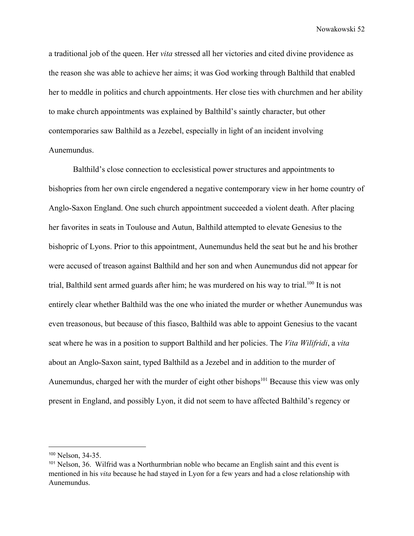a traditional job of the queen. Her *vita* stressed all her victories and cited divine providence as the reason she was able to achieve her aims; it was God working through Balthild that enabled her to meddle in politics and church appointments. Her close ties with churchmen and her ability to make church appointments was explained by Balthild's saintly character, but other contemporaries saw Balthild as a Jezebel, especially in light of an incident involving Aunemundus.

Balthild's close connection to ecclesistical power structures and appointments to bishopries from her own circle engendered a negative contemporary view in her home country of Anglo-Saxon England. One such church appointment succeeded a violent death. After placing her favorites in seats in Toulouse and Autun, Balthild attempted to elevate Genesius to the bishopric of Lyons. Prior to this appointment, Aunemundus held the seat but he and his brother were accused of treason against Balthild and her son and when Aunemundus did not appear for trial, Balthild sent armed guards after him; he was murdered on his way to trial.<sup>100</sup> It is not entirely clear whether Balthild was the one who iniated the murder or whether Aunemundus was even treasonous, but because of this fiasco, Balthild was able to appoint Genesius to the vacant seat where he was in a position to support Balthild and her policies. The *Vita Wilifridi*, a *vita* about an Anglo-Saxon saint, typed Balthild as a Jezebel and in addition to the murder of Aunemundus, charged her with the murder of eight other bishops $101$  Because this view was only present in England, and possibly Lyon, it did not seem to have affected Balthild's regency or

<sup>100</sup> Nelson, 34-35.

<sup>101</sup> Nelson, 36. Wilfrid was a Northurmbrian noble who became an English saint and this event is mentioned in his *vita* because he had stayed in Lyon for a few years and had a close relationship with Aunemundus.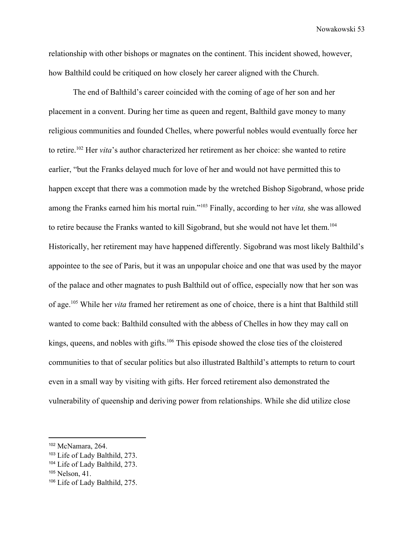relationship with other bishops or magnates on the continent. This incident showed, however, how Balthild could be critiqued on how closely her career aligned with the Church.

The end of Balthild's career coincided with the coming of age of her son and her placement in a convent. During her time as queen and regent, Balthild gave money to many religious communities and founded Chelles, where powerful nobles would eventually force her to retire.<sup>102</sup> Her *vita*'s author characterized her retirement as her choice: she wanted to retire earlier, "but the Franks delayed much for love of her and would not have permitted this to happen except that there was a commotion made by the wretched Bishop Sigobrand, whose pride among the Franks earned him his mortal ruin."<sup>103</sup> Finally, according to her *vita*, she was allowed to retire because the Franks wanted to kill Sigobrand, but she would not have let them.<sup>104</sup> Historically, her retirement may have happened differently. Sigobrand was most likely Balthild's appointee to the see of Paris, but it was an unpopular choice and one that was used by the mayor of the palace and other magnates to push Balthild out of office, especially now that her son was of age.<sup>105</sup> While her *vita* framed her retirement as one of choice, there is a hint that Balthild still wanted to come back: Balthild consulted with the abbess of Chelles in how they may call on kings, queens, and nobles with gifts.  $106$  This episode showed the close ties of the cloistered communities to that of secular politics but also illustrated Balthild's attempts to return to court even in a small way by visiting with gifts. Her forced retirement also demonstrated the vulnerability of queenship and deriving power from relationships. While she did utilize close

<sup>102</sup> McNamara, 264.

<sup>103</sup> Life of Lady Balthild, 273.

<sup>104</sup> Life of Lady Balthild, 273.

<sup>105</sup> Nelson, 41.

<sup>106</sup> Life of Lady Balthild, 275.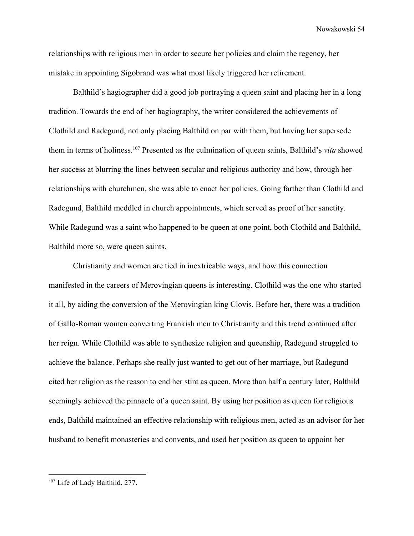relationships with religious men in order to secure her policies and claim the regency, her mistake in appointing Sigobrand was what most likely triggered her retirement.

Balthild's hagiographer did a good job portraying a queen saint and placing her in a long tradition. Towards the end of her hagiography, the writer considered the achievements of Clothild and Radegund, not only placing Balthild on par with them, but having her supersede them in terms of holiness.<sup>107</sup> Presented as the culmination of queen saints, Balthild's *vita* showed her success at blurring the lines between secular and religious authority and how, through her relationships with churchmen, she was able to enact her policies. Going farther than Clothild and Radegund, Balthild meddled in church appointments, which served as proof of her sanctity. While Radegund was a saint who happened to be queen at one point, both Clothild and Balthild, Balthild more so, were queen saints.

Christianity and women are tied in inextricable ways, and how this connection manifested in the careers of Merovingian queens is interesting. Clothild was the one who started it all, by aiding the conversion of the Merovingian king Clovis. Before her, there was a tradition of Gallo-Roman women converting Frankish men to Christianity and this trend continued after her reign. While Clothild was able to synthesize religion and queenship, Radegund struggled to achieve the balance. Perhaps she really just wanted to get out of her marriage, but Radegund cited her religion as the reason to end her stint as queen. More than half a century later, Balthild seemingly achieved the pinnacle of a queen saint. By using her position as queen for religious ends, Balthild maintained an effective relationship with religious men, acted as an advisor for her husband to benefit monasteries and convents, and used her position as queen to appoint her

<sup>107</sup> Life of Lady Balthild, 277.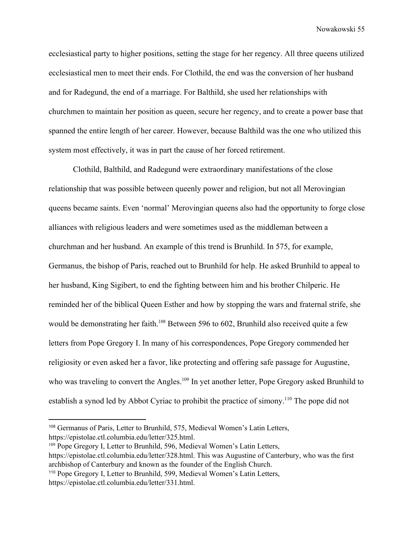ecclesiastical party to higher positions, setting the stage for her regency. All three queens utilized ecclesiastical men to meet their ends. For Clothild, the end was the conversion of her husband and for Radegund, the end of a marriage. For Balthild, she used her relationships with churchmen to maintain her position as queen, secure her regency, and to create a power base that spanned the entire length of her career. However, because Balthild was the one who utilized this system most effectively, it was in part the cause of her forced retirement.

Clothild, Balthild, and Radegund were extraordinary manifestations of the close relationship that was possible between queenly power and religion, but not all Merovingian queens became saints. Even 'normal' Merovingian queens also had the opportunity to forge close alliances with religious leaders and were sometimes used as the middleman between a churchman and her husband. An example of this trend is Brunhild. In 575, for example, Germanus, the bishop of Paris, reached out to Brunhild for help. He asked Brunhild to appeal to her husband, King Sigibert, to end the fighting between him and his brother Chilperic. He reminded her of the biblical Queen Esther and how by stopping the wars and fraternal strife, she would be demonstrating her faith.<sup>108</sup> Between 596 to 602, Brunhild also received quite a few letters from Pope Gregory I. In many of his correspondences, Pope Gregory commended her religiosity or even asked her a favor, like protecting and offering safe passage for Augustine, who was traveling to convert the Angles.<sup>109</sup> In yet another letter, Pope Gregory asked Brunhild to establish a synod led by Abbot Cyriac to prohibit the practice of simony.<sup>110</sup> The pope did not

<sup>108</sup> Germanus of Paris, Letter to Brunhild, 575, Medieval Women's Latin Letters, https://epistolae.ctl.columbia.edu/letter/325.html.

<sup>109</sup> Pope Gregory I, Letter to Brunhild, 596, Medieval Women's Latin Letters,

https://epistolae.ctl.columbia.edu/letter/328.html. This was Augustine of Canterbury, who was the first archbishop of Canterbury and known as the founder of the English Church.

<sup>110</sup> Pope Gregory I, Letter to Brunhild, 599, Medieval Women's Latin Letters, https://epistolae.ctl.columbia.edu/letter/331.html.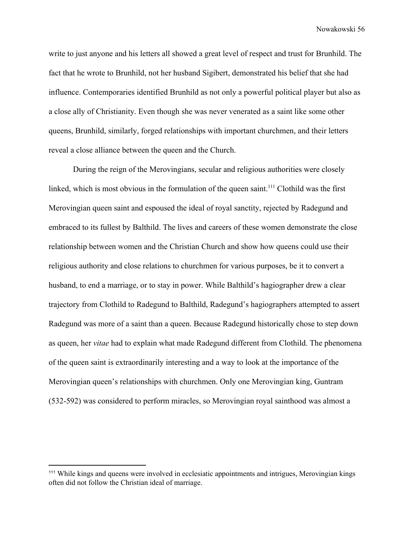write to just anyone and his letters all showed a great level of respect and trust for Brunhild. The fact that he wrote to Brunhild, not her husband Sigibert, demonstrated his belief that she had influence. Contemporaries identified Brunhild as not only a powerful political player but also as a close ally of Christianity. Even though she was never venerated as a saint like some other queens, Brunhild, similarly, forged relationships with important churchmen, and their letters reveal a close alliance between the queen and the Church.

During the reign of the Merovingians, secular and religious authorities were closely linked, which is most obvious in the formulation of the queen saint.<sup> $111$ </sup> Clothild was the first Merovingian queen saint and espoused the ideal of royal sanctity, rejected by Radegund and embraced to its fullest by Balthild. The lives and careers of these women demonstrate the close relationship between women and the Christian Church and show how queens could use their religious authority and close relations to churchmen for various purposes, be it to convert a husband, to end a marriage, or to stay in power. While Balthild's hagiographer drew a clear trajectory from Clothild to Radegund to Balthild, Radegund's hagiographers attempted to assert Radegund was more of a saint than a queen. Because Radegund historically chose to step down as queen, her *vitae* had to explain what made Radegund different from Clothild. The phenomena of the queen saint is extraordinarily interesting and a way to look at the importance of the Merovingian queen's relationships with churchmen. Only one Merovingian king, Guntram (532-592) was considered to perform miracles, so Merovingian royal sainthood was almost a

<sup>111</sup> While kings and queens were involved in ecclesiatic appointments and intrigues, Merovingian kings often did not follow the Christian ideal of marriage.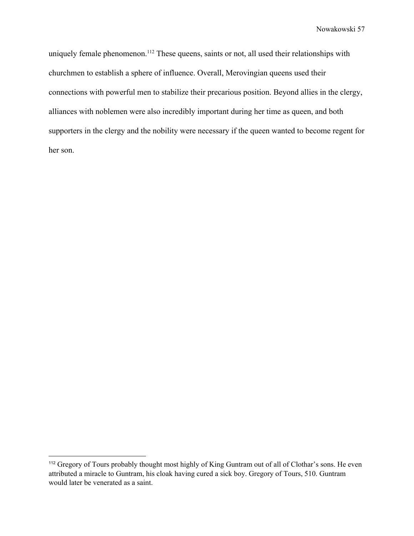uniquely female phenomenon.<sup>112</sup> These queens, saints or not, all used their relationships with churchmen to establish a sphere of influence. Overall, Merovingian queens used their connections with powerful men to stabilize their precarious position. Beyond allies in the clergy, alliances with noblemen were also incredibly important during her time as queen, and both supporters in the clergy and the nobility were necessary if the queen wanted to become regent for her son.

<sup>&</sup>lt;sup>112</sup> Gregory of Tours probably thought most highly of King Guntram out of all of Clothar's sons. He even attributed a miracle to Guntram, his cloak having cured a sick boy. Gregory of Tours, 510. Guntram would later be venerated as a saint.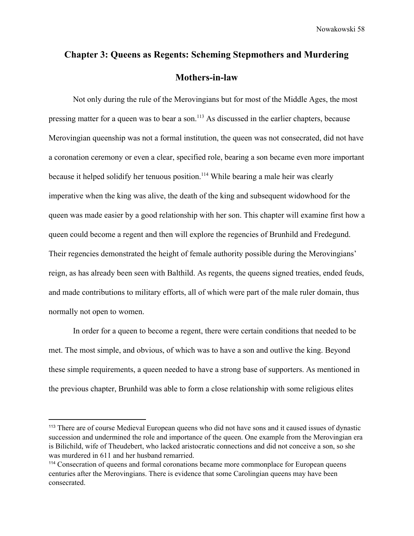## **Chapter 3: Queens as Regents: Scheming Stepmothers and Murdering Mothers-in-law**

Not only during the rule of the Merovingians but for most of the Middle Ages, the most pressing matter for a queen was to bear a son.<sup>113</sup> As discussed in the earlier chapters, because Merovingian queenship was not a formal institution, the queen was not consecrated, did not have a coronation ceremony or even a clear, specified role, bearing a son became even more important because it helped solidify her tenuous position.<sup>114</sup> While bearing a male heir was clearly imperative when the king was alive, the death of the king and subsequent widowhood for the queen was made easier by a good relationship with her son. This chapter will examine first how a queen could become a regent and then will explore the regencies of Brunhild and Fredegund. Their regencies demonstrated the height of female authority possible during the Merovingians' reign, as has already been seen with Balthild. As regents, the queens signed treaties, ended feuds, and made contributions to military efforts, all of which were part of the male ruler domain, thus normally not open to women.

In order for a queen to become a regent, there were certain conditions that needed to be met. The most simple, and obvious, of which was to have a son and outlive the king. Beyond these simple requirements, a queen needed to have a strong base of supporters. As mentioned in the previous chapter, Brunhild was able to form a close relationship with some religious elites

<sup>113</sup> There are of course Medieval European queens who did not have sons and it caused issues of dynastic succession and undermined the role and importance of the queen. One example from the Merovingian era is Bilichild, wife of Theudebert, who lacked aristocratic connections and did not conceive a son, so she was murdered in 611 and her husband remarried.

<sup>114</sup> Consecration of queens and formal coronations became more commonplace for European queens centuries after the Merovingians. There is evidence that some Carolingian queens may have been consecrated.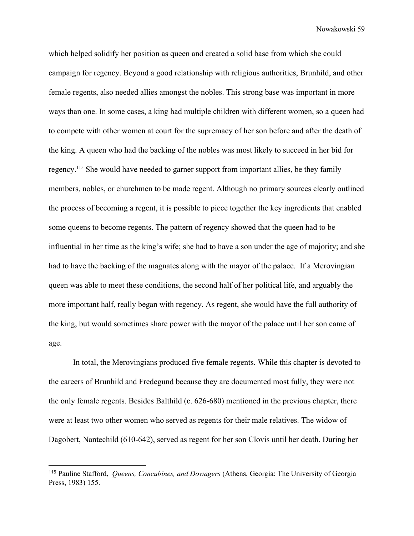which helped solidify her position as queen and created a solid base from which she could campaign for regency. Beyond a good relationship with religious authorities, Brunhild, and other female regents, also needed allies amongst the nobles. This strong base was important in more ways than one. In some cases, a king had multiple children with different women, so a queen had to compete with other women at court for the supremacy of her son before and after the death of the king. A queen who had the backing of the nobles was most likely to succeed in her bid for regency.<sup>115</sup> She would have needed to garner support from important allies, be they family members, nobles, or churchmen to be made regent. Although no primary sources clearly outlined the process of becoming a regent, it is possible to piece together the key ingredients that enabled some queens to become regents. The pattern of regency showed that the queen had to be influential in her time as the king's wife; she had to have a son under the age of majority; and she had to have the backing of the magnates along with the mayor of the palace. If a Merovingian queen was able to meet these conditions, the second half of her political life, and arguably the more important half, really began with regency. As regent, she would have the full authority of the king, but would sometimes share power with the mayor of the palace until her son came of age.

In total, the Merovingians produced five female regents. While this chapter is devoted to the careers of Brunhild and Fredegund because they are documented most fully, they were not the only female regents. Besides Balthild (c. 626-680) mentioned in the previous chapter, there were at least two other women who served as regents for their male relatives. The widow of Dagobert, Nantechild (610-642), served as regent for her son Clovis until her death. During her

<sup>115</sup> Pauline Stafford, *Queens, Concubines, and Dowagers* (Athens, Georgia: The University of Georgia Press, 1983) 155.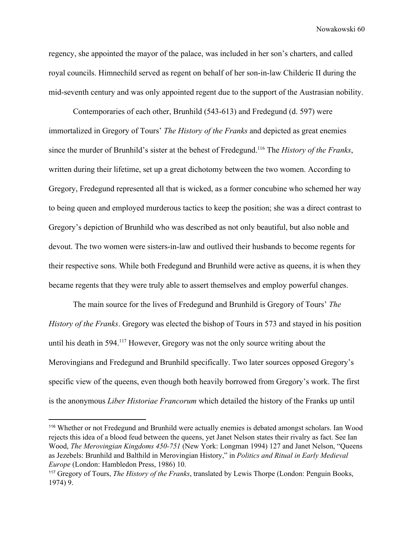regency, she appointed the mayor of the palace, was included in her son's charters, and called royal councils. Himnechild served as regent on behalf of her son-in-law Childeric II during the mid-seventh century and was only appointed regent due to the support of the Austrasian nobility.

Contemporaries of each other, Brunhild (543-613) and Fredegund (d. 597) were immortalized in Gregory of Tours' *The History of the Franks* and depicted as great enemies since the murder of Brunhild's sister at the behest of Fredegund.<sup>116</sup> The *History of the Franks*, written during their lifetime, set up a great dichotomy between the two women. According to Gregory, Fredegund represented all that is wicked, as a former concubine who schemed her way to being queen and employed murderous tactics to keep the position; she was a direct contrast to Gregory's depiction of Brunhild who was described as not only beautiful, but also noble and devout. The two women were sisters-in-law and outlived their husbands to become regents for their respective sons. While both Fredegund and Brunhild were active as queens, it is when they became regents that they were truly able to assert themselves and employ powerful changes.

The main source for the lives of Fredegund and Brunhild is Gregory of Tours' *The History of the Franks*. Gregory was elected the bishop of Tours in 573 and stayed in his position until his death in 594. $117$  However, Gregory was not the only source writing about the Merovingians and Fredegund and Brunhild specifically. Two later sources opposed Gregory's specific view of the queens, even though both heavily borrowed from Gregory's work. The first is the anonymous *Liber Historiae Francorum* which detailed the history of the Franks up until

<sup>116</sup> Whether or not Fredegund and Brunhild were actually enemies is debated amongst scholars. Ian Wood rejects this idea of a blood feud between the queens, yet Janet Nelson states their rivalry as fact. See Ian Wood, *The Merovingian Kingdoms 450-751* (New York: Longman 1994) 127 and Janet Nelson, "Queens as Jezebels: Brunhild and Balthild in Merovingian History," in *Politics and Ritual in Early Medieval Europe* (London: Hambledon Press, 1986) 10.

<sup>117</sup> Gregory of Tours, *The History of the Franks*, translated by Lewis Thorpe (London: Penguin Books, 1974) 9.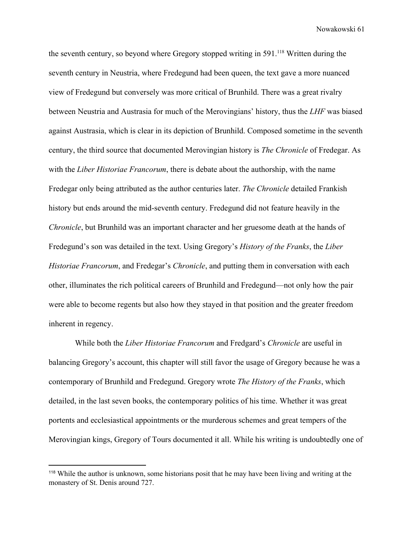the seventh century, so beyond where Gregory stopped writing in  $591$ <sup>118</sup> Written during the seventh century in Neustria, where Fredegund had been queen, the text gave a more nuanced view of Fredegund but conversely was more critical of Brunhild. There was a great rivalry between Neustria and Austrasia for much of the Merovingians' history, thus the *LHF* was biased against Austrasia, which is clear in its depiction of Brunhild. Composed sometime in the seventh century, the third source that documented Merovingian history is *The Chronicle* of Fredegar. As with the *Liber Historiae Francorum*, there is debate about the authorship, with the name Fredegar only being attributed as the author centuries later. *The Chronicle* detailed Frankish history but ends around the mid-seventh century. Fredegund did not feature heavily in the *Chronicle*, but Brunhild was an important character and her gruesome death at the hands of Fredegund's son was detailed in the text. Using Gregory's *History of the Franks*, the *Liber Historiae Francorum*, and Fredegar's *Chronicle*, and putting them in conversation with each other, illuminates the rich political careers of Brunhild and Fredegund—not only how the pair were able to become regents but also how they stayed in that position and the greater freedom inherent in regency.

 While both the *Liber Historiae Francorum* and Fredgard's *Chronicle* are useful in balancing Gregory's account, this chapter will still favor the usage of Gregory because he was a contemporary of Brunhild and Fredegund. Gregory wrote *The History of the Franks*, which detailed, in the last seven books, the contemporary politics of his time. Whether it was great portents and ecclesiastical appointments or the murderous schemes and great tempers of the Merovingian kings, Gregory of Tours documented it all. While his writing is undoubtedly one of

<sup>118</sup> While the author is unknown, some historians posit that he may have been living and writing at the monastery of St. Denis around 727.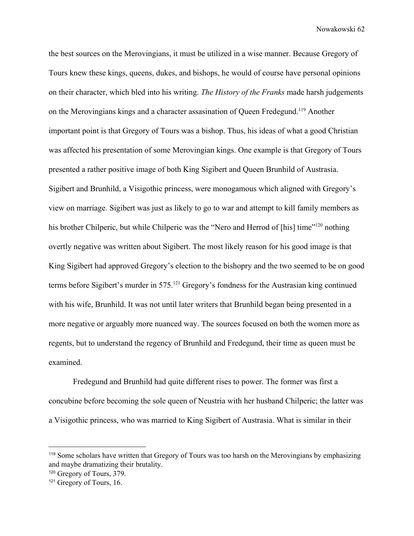the best sources on the Merovingians, it must be utilized in a wise manner. Because Gregory of Tours knew these kings, queens, dukes, and bishops, he would of course have personal opinions on their character, which bled into his writing. *The History of the Franks* made harsh judgements on the Merovingians kings and a character assasination of Queen Fredegund.<sup>119</sup> Another important point is that Gregory of Tours was a bishop. Thus, his ideas of what a good Christian was affected his presentation of some Merovingian kings. One example is that Gregory of Tours presented a rather positive image of both King Sigibert and Queen Brunhild of Austrasia. Sigibert and Brunhild, a Visigothic princess, were monogamous which aligned with Gregory's view on marriage. Sigibert was just as likely to go to war and attempt to kill family members as his brother Chilperic, but while Chilperic was the "Nero and Herrod of [his] time"<sup>120</sup> nothing overtly negative was written about Sigibert. The most likely reason for his good image is that King Sigibert had approved Gregory's election to the bishopry and the two seemed to be on good terms before Sigibert's murder in  $575$ .<sup>121</sup> Gregory's fondness for the Austrasian king continued with his wife, Brunhild. It was not until later writers that Brunhild began being presented in a more negative or arguably more nuanced way. The sources focused on both the women more as regents, but to understand the regency of Brunhild and Fredegund, their time as queen must be examined.

Fredegund and Brunhild had quite different rises to power. The former was first a concubine before becoming the sole queen of Neustria with her husband Chilperic; the latter was a Visigothic princess, who was married to King Sigibert of Austrasia. What is similar in their

<sup>119</sup> Some scholars have written that Gregory of Tours was too harsh on the Merovingians by emphasizing and maybe dramatizing their brutality.

<sup>120</sup> Gregory of Tours, 379.

<sup>121</sup> Gregory of Tours, 16.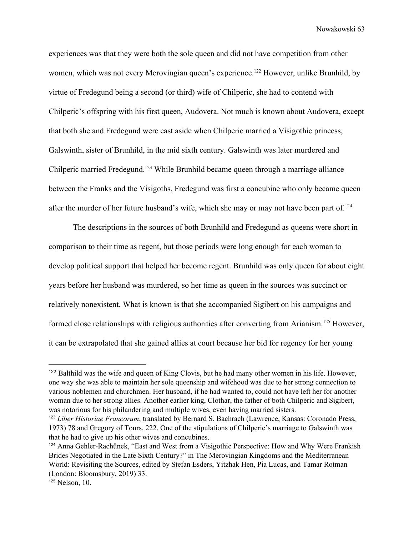experiences was that they were both the sole queen and did not have competition from other women, which was not every Merovingian queen's experience.<sup>122</sup> However, unlike Brunhild, by virtue of Fredegund being a second (or third) wife of Chilperic, she had to contend with Chilperic's offspring with his first queen, Audovera. Not much is known about Audovera, except that both she and Fredegund were cast aside when Chilperic married a Visigothic princess, Galswinth, sister of Brunhild, in the mid sixth century. Galswinth was later murdered and Chilperic married Fredegund.<sup>123</sup> While Brunhild became queen through a marriage alliance between the Franks and the Visigoths, Fredegund was first a concubine who only became queen after the murder of her future husband's wife, which she may or may not have been part of.<sup>124</sup>

The descriptions in the sources of both Brunhild and Fredegund as queens were short in comparison to their time as regent, but those periods were long enough for each woman to develop political support that helped her become regent. Brunhild was only queen for about eight years before her husband was murdered, so her time as queen in the sources was succinct or relatively nonexistent. What is known is that she accompanied Sigibert on his campaigns and formed close relationships with religious authorities after converting from Arianism.<sup>125</sup> However, it can be extrapolated that she gained allies at court because her bid for regency for her young

<sup>&</sup>lt;sup>122</sup> Balthild was the wife and queen of King Clovis, but he had many other women in his life. However, one way she was able to maintain her sole queenship and wifehood was due to her strong connection to various noblemen and churchmen. Her husband, if he had wanted to, could not have left her for another woman due to her strong allies. Another earlier king, Clothar, the father of both Chilperic and Sigibert, was notorious for his philandering and multiple wives, even having married sisters.

<sup>123</sup> *Liber Historiae Francorum*, translated by Bernard S. Bachrach (Lawrence, Kansas: Coronado Press, 1973) 78 and Gregory of Tours, 222. One of the stipulations of Chilperic's marriage to Galswinth was that he had to give up his other wives and concubines.

<sup>124</sup> Anna Gehler-Rachůnek, "East and West from a Visigothic Perspective: How and Why Were Frankish Brides Negotiated in the Late Sixth Century?" in The Merovingian Kingdoms and the Mediterranean World: Revisiting the Sources, edited by Stefan Esders, Yitzhak Hen, Pia Lucas, and Tamar Rotman (London: Bloomsbury, 2019) 33.

<sup>125</sup> Nelson, 10.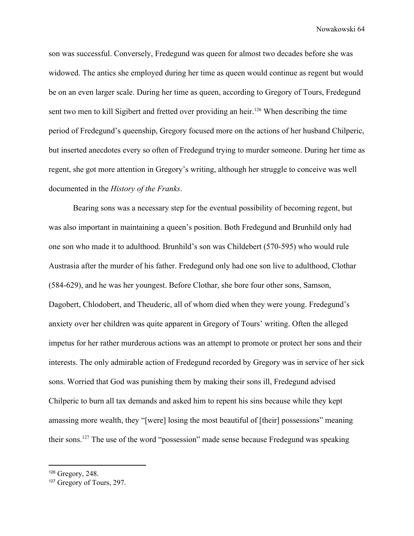son was successful. Conversely, Fredegund was queen for almost two decades before she was widowed. The antics she employed during her time as queen would continue as regent but would be on an even larger scale. During her time as queen, according to Gregory of Tours, Fredegund sent two men to kill Sigibert and fretted over providing an heir.<sup>126</sup> When describing the time period of Fredegund's queenship, Gregory focused more on the actions of her husband Chilperic, but inserted anecdotes every so often of Fredegund trying to murder someone. During her time as regent, she got more attention in Gregory's writing, although her struggle to conceive was well documented in the *History of the Franks*.

Bearing sons was a necessary step for the eventual possibility of becoming regent, but was also important in maintaining a queen's position. Both Fredegund and Brunhild only had one son who made it to adulthood. Brunhild's son was Childebert (570-595) who would rule Austrasia after the murder of his father. Fredegund only had one son live to adulthood, Clothar (584-629), and he was her youngest. Before Clothar, she bore four other sons, Samson, Dagobert, Chlodobert, and Theuderic, all of whom died when they were young. Fredegund's anxiety over her children was quite apparent in Gregory of Tours' writing. Often the alleged impetus for her rather murderous actions was an attempt to promote or protect her sons and their interests. The only admirable action of Fredegund recorded by Gregory was in service of her sick sons. Worried that God was punishing them by making their sons ill, Fredegund advised Chilperic to burn all tax demands and asked him to repent his sins because while they kept amassing more wealth, they "[were] losing the most beautiful of [their] possessions" meaning their sons.  $127$  The use of the word "possession" made sense because Fredegund was speaking

<sup>126</sup> Gregory, 248.

<sup>127</sup> Gregory of Tours, 297.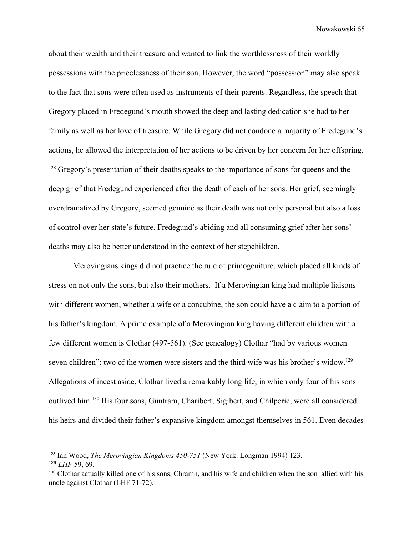about their wealth and their treasure and wanted to link the worthlessness of their worldly possessions with the pricelessness of their son. However, the word "possession" may also speak to the fact that sons were often used as instruments of their parents. Regardless, the speech that Gregory placed in Fredegund's mouth showed the deep and lasting dedication she had to her family as well as her love of treasure. While Gregory did not condone a majority of Fredegund's actions, he allowed the interpretation of her actions to be driven by her concern for her offspring.  $128$  Gregory's presentation of their deaths speaks to the importance of sons for queens and the deep grief that Fredegund experienced after the death of each of her sons. Her grief, seemingly overdramatized by Gregory, seemed genuine as their death was not only personal but also a loss of control over her state's future. Fredegund's abiding and all consuming grief after her sons' deaths may also be better understood in the context of her stepchildren.

Merovingians kings did not practice the rule of primogeniture, which placed all kinds of stress on not only the sons, but also their mothers. If a Merovingian king had multiple liaisons with different women, whether a wife or a concubine, the son could have a claim to a portion of his father's kingdom. A prime example of a Merovingian king having different children with a few different women is Clothar (497-561). (See genealogy) Clothar "had by various women seven children": two of the women were sisters and the third wife was his brother's widow.<sup>129</sup> Allegations of incest aside, Clothar lived a remarkably long life, in which only four of his sons outlived him.<sup>130</sup> His four sons, Guntram, Charibert, Sigibert, and Chilperic, were all considered his heirs and divided their father's expansive kingdom amongst themselves in 561. Even decades

<sup>128</sup> Ian Wood, *The Merovingian Kingdoms 450-751* (New York: Longman 1994) 123. <sup>129</sup> *LHF* 59, 69.

<sup>130</sup> Clothar actually killed one of his sons, Chramn, and his wife and children when the son allied with his uncle against Clothar (LHF 71-72).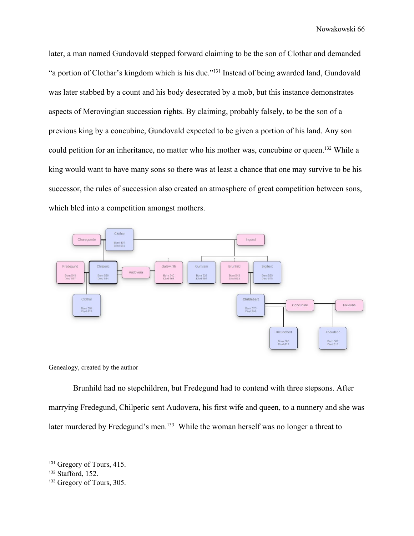later, a man named Gundovald stepped forward claiming to be the son of Clothar and demanded "a portion of Clothar's kingdom which is his due."<sup>131</sup> Instead of being awarded land, Gundovald was later stabbed by a count and his body desecrated by a mob, but this instance demonstrates aspects of Merovingian succession rights. By claiming, probably falsely, to be the son of a previous king by a concubine, Gundovald expected to be given a portion of his land. Any son could petition for an inheritance, no matter who his mother was, concubine or queen.<sup>132</sup> While a king would want to have many sons so there was at least a chance that one may survive to be his successor, the rules of succession also created an atmosphere of great competition between sons, which bled into a competition amongst mothers.



Genealogy, created by the author

Brunhild had no stepchildren, but Fredegund had to contend with three stepsons. After marrying Fredegund, Chilperic sent Audovera, his first wife and queen, to a nunnery and she was later murdered by Fredegund's men.<sup>133</sup> While the woman herself was no longer a threat to

<sup>131</sup> Gregory of Tours, 415.

<sup>132</sup> Stafford, 152.

<sup>133</sup> Gregory of Tours, 305.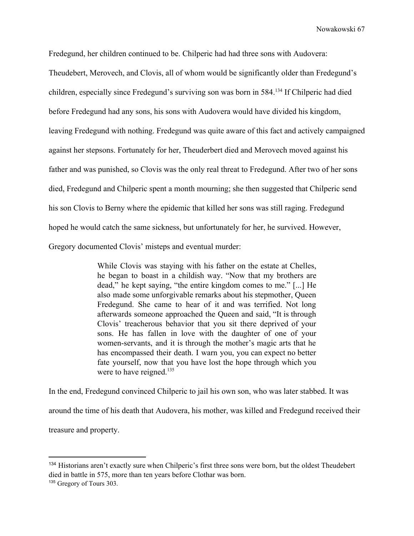Fredegund, her children continued to be. Chilperic had had three sons with Audovera:

Theudebert, Merovech, and Clovis, all of whom would be significantly older than Fredegund's children, especially since Fredegund's surviving son was born in 584.<sup>134</sup> If Chilperic had died before Fredegund had any sons, his sons with Audovera would have divided his kingdom, leaving Fredegund with nothing. Fredegund was quite aware of this fact and actively campaigned against her stepsons. Fortunately for her, Theuderbert died and Merovech moved against his father and was punished, so Clovis was the only real threat to Fredegund. After two of her sons died, Fredegund and Chilperic spent a month mourning; she then suggested that Chilperic send his son Clovis to Berny where the epidemic that killed her sons was still raging. Fredegund hoped he would catch the same sickness, but unfortunately for her, he survived. However, Gregory documented Clovis' misteps and eventual murder:

> While Clovis was staying with his father on the estate at Chelles, he began to boast in a childish way. "Now that my brothers are dead," he kept saying, "the entire kingdom comes to me." [...] He also made some unforgivable remarks about his stepmother, Queen Fredegund. She came to hear of it and was terrified. Not long afterwards someone approached the Queen and said, "It is through Clovis' treacherous behavior that you sit there deprived of your sons. He has fallen in love with the daughter of one of your women-servants, and it is through the mother's magic arts that he has encompassed their death. I warn you, you can expect no better fate yourself, now that you have lost the hope through which you were to have reigned.<sup>135</sup>

In the end, Fredegund convinced Chilperic to jail his own son, who was later stabbed. It was around the time of his death that Audovera, his mother, was killed and Fredegund received their treasure and property.

<sup>134</sup> Historians aren't exactly sure when Chilperic's first three sons were born, but the oldest Theudebert died in battle in 575, more than ten years before Clothar was born.

<sup>&</sup>lt;sup>135</sup> Gregory of Tours 303.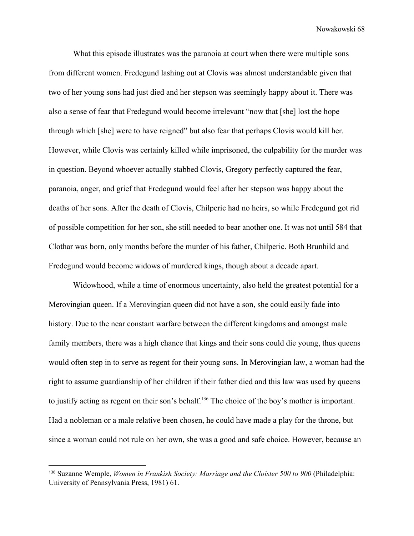What this episode illustrates was the paranoia at court when there were multiple sons from different women. Fredegund lashing out at Clovis was almost understandable given that two of her young sons had just died and her stepson was seemingly happy about it. There was also a sense of fear that Fredegund would become irrelevant "now that [she] lost the hope through which [she] were to have reigned" but also fear that perhaps Clovis would kill her. However, while Clovis was certainly killed while imprisoned, the culpability for the murder was in question. Beyond whoever actually stabbed Clovis, Gregory perfectly captured the fear, paranoia, anger, and grief that Fredegund would feel after her stepson was happy about the deaths of her sons. After the death of Clovis, Chilperic had no heirs, so while Fredegund got rid of possible competition for her son, she still needed to bear another one. It was not until 584 that Clothar was born, only months before the murder of his father, Chilperic. Both Brunhild and Fredegund would become widows of murdered kings, though about a decade apart.

Widowhood, while a time of enormous uncertainty, also held the greatest potential for a Merovingian queen. If a Merovingian queen did not have a son, she could easily fade into history. Due to the near constant warfare between the different kingdoms and amongst male family members, there was a high chance that kings and their sons could die young, thus queens would often step in to serve as regent for their young sons. In Merovingian law, a woman had the right to assume guardianship of her children if their father died and this law was used by queens to justify acting as regent on their son's behalf.<sup>136</sup> The choice of the boy's mother is important. Had a nobleman or a male relative been chosen, he could have made a play for the throne, but since a woman could not rule on her own, she was a good and safe choice. However, because an

<sup>136</sup> Suzanne Wemple, *Women in Frankish Society: Marriage and the Cloister 500 to 900* (Philadelphia: University of Pennsylvania Press, 1981) 61.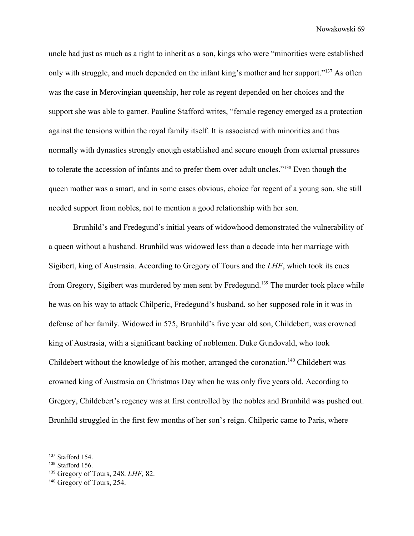uncle had just as much as a right to inherit as a son, kings who were "minorities were established only with struggle, and much depended on the infant king's mother and her support." $137$  As often was the case in Merovingian queenship, her role as regent depended on her choices and the support she was able to garner. Pauline Stafford writes, "female regency emerged as a protection against the tensions within the royal family itself. It is associated with minorities and thus normally with dynasties strongly enough established and secure enough from external pressures to tolerate the accession of infants and to prefer them over adult uncles."<sup>138</sup> Even though the queen mother was a smart, and in some cases obvious, choice for regent of a young son, she still needed support from nobles, not to mention a good relationship with her son.

Brunhild's and Fredegund's initial years of widowhood demonstrated the vulnerability of a queen without a husband. Brunhild was widowed less than a decade into her marriage with Sigibert, king of Austrasia. According to Gregory of Tours and the *LHF*, which took its cues from Gregory, Sigibert was murdered by men sent by Fredegund.<sup>139</sup> The murder took place while he was on his way to attack Chilperic, Fredegund's husband, so her supposed role in it was in defense of her family. Widowed in 575, Brunhild's five year old son, Childebert, was crowned king of Austrasia, with a significant backing of noblemen. Duke Gundovald, who took Childebert without the knowledge of his mother, arranged the coronation.<sup>140</sup> Childebert was crowned king of Austrasia on Christmas Day when he was only five years old. According to Gregory, Childebert's regency was at first controlled by the nobles and Brunhild was pushed out. Brunhild struggled in the first few months of her son's reign. Chilperic came to Paris, where

<sup>137</sup> Stafford 154.

<sup>138</sup> Stafford 156.

<sup>139</sup> Gregory of Tours, 248. *LHF,* 82.

<sup>140</sup> Gregory of Tours, 254.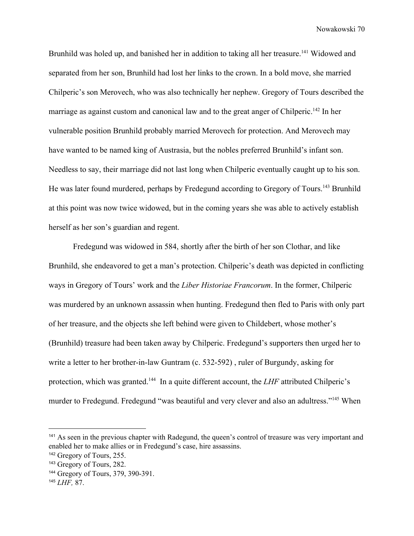Brunhild was holed up, and banished her in addition to taking all her treasure.<sup>141</sup> Widowed and separated from her son, Brunhild had lost her links to the crown. In a bold move, she married Chilperic's son Merovech, who was also technically her nephew. Gregory of Tours described the marriage as against custom and canonical law and to the great anger of Chilperic.<sup>142</sup> In her vulnerable position Brunhild probably married Merovech for protection. And Merovech may have wanted to be named king of Austrasia, but the nobles preferred Brunhild's infant son. Needless to say, their marriage did not last long when Chilperic eventually caught up to his son. He was later found murdered, perhaps by Fredegund according to Gregory of Tours.<sup>143</sup> Brunhild at this point was now twice widowed, but in the coming years she was able to actively establish herself as her son's guardian and regent.

Fredegund was widowed in 584, shortly after the birth of her son Clothar, and like Brunhild, she endeavored to get a man's protection. Chilperic's death was depicted in conflicting ways in Gregory of Tours' work and the *Liber Historiae Francorum*. In the former, Chilperic was murdered by an unknown assassin when hunting. Fredegund then fled to Paris with only part of her treasure, and the objects she left behind were given to Childebert, whose mother's (Brunhild) treasure had been taken away by Chilperic. Fredegund's supporters then urged her to write a letter to her brother-in-law Guntram (c. 532-592) , ruler of Burgundy, asking for protection, which was granted.<sup>144</sup> In a quite different account, the *LHF* attributed Chilperic's murder to Fredegund. Fredegund "was beautiful and very clever and also an adultress."<sup>145</sup> When

<sup>&</sup>lt;sup>141</sup> As seen in the previous chapter with Radegund, the queen's control of treasure was very important and enabled her to make allies or in Fredegund's case, hire assassins.

<sup>142</sup> Gregory of Tours, 255.

<sup>143</sup> Gregory of Tours, 282.

<sup>144</sup> Gregory of Tours, 379, 390-391.

<sup>145</sup> *LHF,* 87.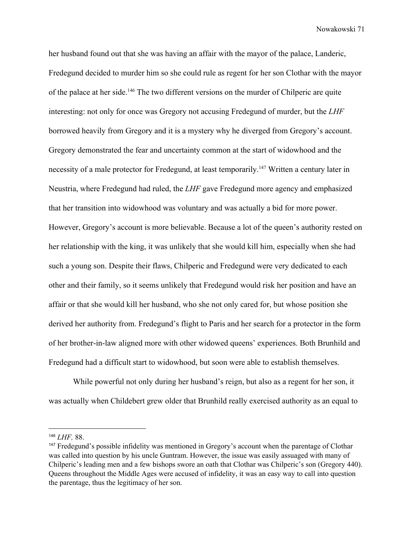her husband found out that she was having an affair with the mayor of the palace, Landeric, Fredegund decided to murder him so she could rule as regent for her son Clothar with the mayor of the palace at her side.<sup>146</sup> The two different versions on the murder of Chilperic are quite interesting: not only for once was Gregory not accusing Fredegund of murder, but the *LHF* borrowed heavily from Gregory and it is a mystery why he diverged from Gregory's account. Gregory demonstrated the fear and uncertainty common at the start of widowhood and the necessity of a male protector for Fredegund, at least temporarily.<sup>147</sup> Written a century later in Neustria, where Fredegund had ruled, the *LHF* gave Fredegund more agency and emphasized that her transition into widowhood was voluntary and was actually a bid for more power. However, Gregory's account is more believable. Because a lot of the queen's authority rested on her relationship with the king, it was unlikely that she would kill him, especially when she had such a young son. Despite their flaws, Chilperic and Fredegund were very dedicated to each other and their family, so it seems unlikely that Fredegund would risk her position and have an affair or that she would kill her husband, who she not only cared for, but whose position she derived her authority from. Fredegund's flight to Paris and her search for a protector in the form of her brother-in-law aligned more with other widowed queens' experiences. Both Brunhild and Fredegund had a difficult start to widowhood, but soon were able to establish themselves.

While powerful not only during her husband's reign, but also as a regent for her son, it was actually when Childebert grew older that Brunhild really exercised authority as an equal to

<sup>146</sup> *LHF,* 88.

<sup>147</sup> Fredegund's possible infidelity was mentioned in Gregory's account when the parentage of Clothar was called into question by his uncle Guntram. However, the issue was easily assuaged with many of Chilperic's leading men and a few bishops swore an oath that Clothar was Chilperic's son (Gregory 440). Queens throughout the Middle Ages were accused of infidelity, it was an easy way to call into question the parentage, thus the legitimacy of her son.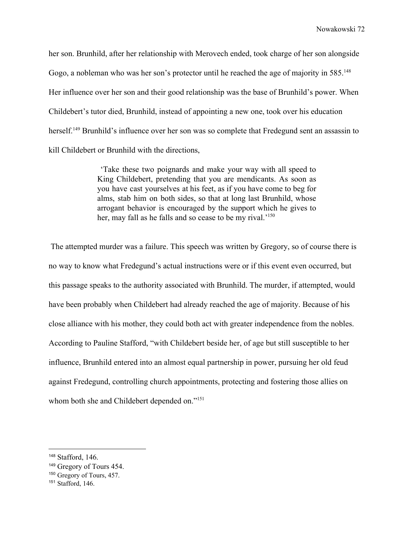her son. Brunhild, after her relationship with Merovech ended, took charge of her son alongside Gogo, a nobleman who was her son's protector until he reached the age of majority in 585.<sup>148</sup> Her influence over her son and their good relationship was the base of Brunhild's power. When Childebert's tutor died, Brunhild, instead of appointing a new one, took over his education herself.<sup>149</sup> Brunhild's influence over her son was so complete that Fredegund sent an assassin to kill Childebert or Brunhild with the directions,

> 'Take these two poignards and make your way with all speed to King Childebert, pretending that you are mendicants. As soon as you have cast yourselves at his feet, as if you have come to beg for alms, stab him on both sides, so that at long last Brunhild, whose arrogant behavior is encouraged by the support which he gives to her, may fall as he falls and so cease to be my rival.<sup>'150</sup>

 The attempted murder was a failure. This speech was written by Gregory, so of course there is no way to know what Fredegund's actual instructions were or if this event even occurred, but this passage speaks to the authority associated with Brunhild. The murder, if attempted, would have been probably when Childebert had already reached the age of majority. Because of his close alliance with his mother, they could both act with greater independence from the nobles. According to Pauline Stafford, "with Childebert beside her, of age but still susceptible to her influence, Brunhild entered into an almost equal partnership in power, pursuing her old feud against Fredegund, controlling church appointments, protecting and fostering those allies on whom both she and Childebert depended on."<sup>151</sup>

<sup>148</sup> Stafford, 146.

<sup>149</sup> Gregory of Tours 454.

<sup>150</sup> Gregory of Tours, 457.

<sup>151</sup> Stafford, 146.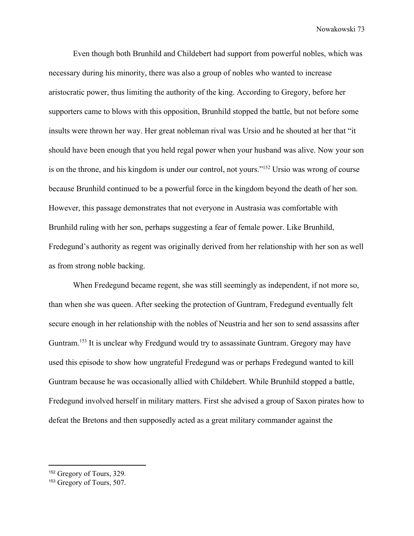Even though both Brunhild and Childebert had support from powerful nobles, which was necessary during his minority, there was also a group of nobles who wanted to increase aristocratic power, thus limiting the authority of the king. According to Gregory, before her supporters came to blows with this opposition, Brunhild stopped the battle, but not before some insults were thrown her way. Her great nobleman rival was Ursio and he shouted at her that "it should have been enough that you held regal power when your husband was alive. Now your son is on the throne, and his kingdom is under our control, not yours."<sup>152</sup> Ursio was wrong of course because Brunhild continued to be a powerful force in the kingdom beyond the death of her son. However, this passage demonstrates that not everyone in Austrasia was comfortable with Brunhild ruling with her son, perhaps suggesting a fear of female power. Like Brunhild, Fredegund's authority as regent was originally derived from her relationship with her son as well as from strong noble backing.

When Fredegund became regent, she was still seemingly as independent, if not more so, than when she was queen. After seeking the protection of Guntram, Fredegund eventually felt secure enough in her relationship with the nobles of Neustria and her son to send assassins after Guntram.<sup>153</sup> It is unclear why Fredgund would try to assassinate Guntram. Gregory may have used this episode to show how ungrateful Fredegund was or perhaps Fredegund wanted to kill Guntram because he was occasionally allied with Childebert. While Brunhild stopped a battle, Fredegund involved herself in military matters. First she advised a group of Saxon pirates how to defeat the Bretons and then supposedly acted as a great military commander against the

<sup>152</sup> Gregory of Tours, 329.

<sup>153</sup> Gregory of Tours, 507.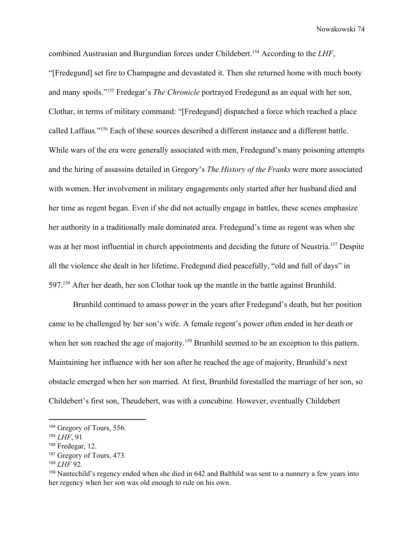combined Austrasian and Burgundian forces under Childebert.<sup>154</sup> According to the *LHF*, "[Fredegund] set fire to Champagne and devastated it. Then she returned home with much booty and many spoils."<sup>155</sup> Fredegar's *The Chronicle* portrayed Fredegund as an equal with her son, Clothar, in terms of military command: "[Fredegund] dispatched a force which reached a place called Laffaus."<sup>156</sup> Each of these sources described a different instance and a different battle. While wars of the era were generally associated with men, Fredegund's many poisoning attempts and the hiring of assassins detailed in Gregory's *The History of the Franks* were more associated with women. Her involvement in military engagements only started after her husband died and her time as regent began. Even if she did not actually engage in battles, these scenes emphasize her authority in a traditionally male dominated area. Fredegund's time as regent was when she was at her most influential in church appointments and deciding the future of Neustria.<sup>157</sup> Despite all the violence she dealt in her lifetime, Fredegund died peacefully, "old and full of days" in 597.<sup>158</sup> After her death, her son Clothar took up the mantle in the battle against Brunhild.

Brunhild continued to amass power in the years after Fredegund's death, but her position came to be challenged by her son's wife. A female regent's power often ended in her death or when her son reached the age of majority.<sup>159</sup> Brunhild seemed to be an exception to this pattern. Maintaining her influence with her son after he reached the age of majority, Brunhild's next obstacle emerged when her son married. At first, Brunhild forestalled the marriage of her son, so Childebert's first son, Theudebert, was with a concubine. However, eventually Childebert

<sup>154</sup> Gregory of Tours, 556.

<sup>155</sup> *LHF*, 91

<sup>156</sup> Fredegar, 12.

<sup>157</sup> Gregory of Tours, 473.

<sup>158</sup> *LHF* 92.

<sup>159</sup> Nantechild's regency ended when she died in 642 and Balthild was sent to a nunnery a few years into her regency when her son was old enough to rule on his own.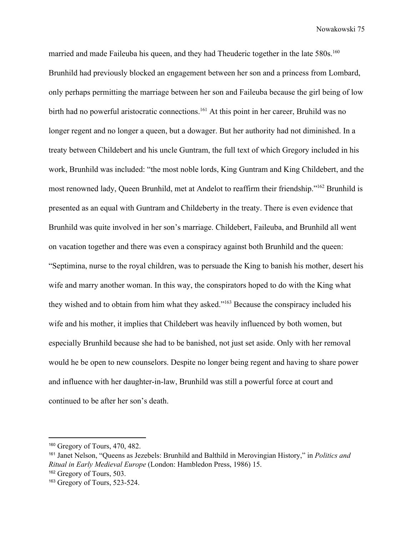married and made Faileuba his queen, and they had Theuderic together in the late 580s.<sup>160</sup> Brunhild had previously blocked an engagement between her son and a princess from Lombard, only perhaps permitting the marriage between her son and Faileuba because the girl being of low birth had no powerful aristocratic connections.<sup>161</sup> At this point in her career, Bruhild was no longer regent and no longer a queen, but a dowager. But her authority had not diminished. In a treaty between Childebert and his uncle Guntram, the full text of which Gregory included in his work, Brunhild was included: "the most noble lords, King Guntram and King Childebert, and the most renowned lady, Queen Brunhild, met at Andelot to reaffirm their friendship."<sup>162</sup> Brunhild is presented as an equal with Guntram and Childeberty in the treaty. There is even evidence that Brunhild was quite involved in her son's marriage. Childebert, Faileuba, and Brunhild all went on vacation together and there was even a conspiracy against both Brunhild and the queen: "Septimina, nurse to the royal children, was to persuade the King to banish his mother, desert his wife and marry another woman. In this way, the conspirators hoped to do with the King what they wished and to obtain from him what they asked."<sup>163</sup> Because the conspiracy included his wife and his mother, it implies that Childebert was heavily influenced by both women, but especially Brunhild because she had to be banished, not just set aside. Only with her removal would he be open to new counselors. Despite no longer being regent and having to share power and influence with her daughter-in-law, Brunhild was still a powerful force at court and continued to be after her son's death.

<sup>160</sup> Gregory of Tours, 470, 482.

<sup>161</sup> Janet Nelson, "Queens as Jezebels: Brunhild and Balthild in Merovingian History," in *Politics and Ritual in Early Medieval Europe* (London: Hambledon Press, 1986) 15.

<sup>162</sup> Gregory of Tours, 503.

<sup>163</sup> Gregory of Tours, 523-524.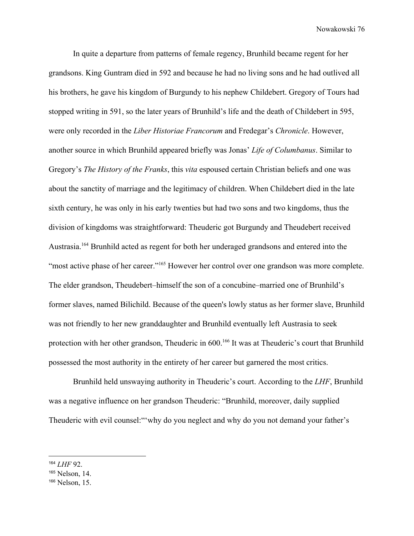In quite a departure from patterns of female regency, Brunhild became regent for her grandsons. King Guntram died in 592 and because he had no living sons and he had outlived all his brothers, he gave his kingdom of Burgundy to his nephew Childebert. Gregory of Tours had stopped writing in 591, so the later years of Brunhild's life and the death of Childebert in 595, were only recorded in the *Liber Historiae Francorum* and Fredegar's *Chronicle*. However, another source in which Brunhild appeared briefly was Jonas' *Life of Columbanus*. Similar to Gregory's *The History of the Franks*, this *vita* espoused certain Christian beliefs and one was about the sanctity of marriage and the legitimacy of children. When Childebert died in the late sixth century, he was only in his early twenties but had two sons and two kingdoms, thus the division of kingdoms was straightforward: Theuderic got Burgundy and Theudebert received Austrasia.<sup>164</sup> Brunhild acted as regent for both her underaged grandsons and entered into the "most active phase of her career."<sup>165</sup> However her control over one grandson was more complete. The elder grandson, Theudebert–himself the son of a concubine–married one of Brunhild's former slaves, named Bilichild. Because of the queen's lowly status as her former slave, Brunhild was not friendly to her new granddaughter and Brunhild eventually left Austrasia to seek protection with her other grandson, Theuderic in 600.<sup>166</sup> It was at Theuderic's court that Brunhild possessed the most authority in the entirety of her career but garnered the most critics.

Brunhild held unswaying authority in Theuderic's court. According to the *LHF*, Brunhild was a negative influence on her grandson Theuderic: "Brunhild, moreover, daily supplied Theuderic with evil counsel:"'why do you neglect and why do you not demand your father's

<sup>164</sup> *LHF* 92.

<sup>165</sup> Nelson, 14.

<sup>166</sup> Nelson, 15.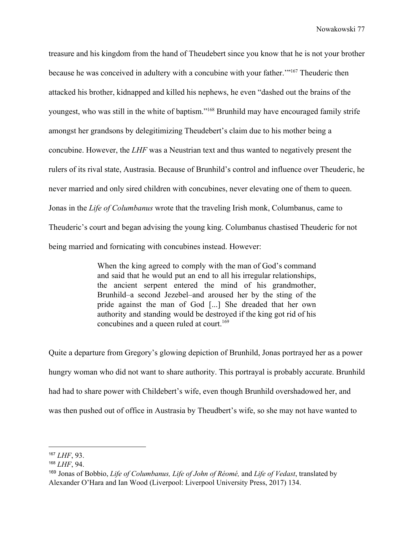treasure and his kingdom from the hand of Theudebert since you know that he is not your brother because he was conceived in adultery with a concubine with your father."<sup>167</sup> Theuderic then attacked his brother, kidnapped and killed his nephews, he even "dashed out the brains of the youngest, who was still in the white of baptism."<sup>168</sup> Brunhild may have encouraged family strife amongst her grandsons by delegitimizing Theudebert's claim due to his mother being a concubine. However, the *LHF* was a Neustrian text and thus wanted to negatively present the rulers of its rival state, Austrasia. Because of Brunhild's control and influence over Theuderic, he never married and only sired children with concubines, never elevating one of them to queen. Jonas in the *Life of Columbanus* wrote that the traveling Irish monk, Columbanus, came to Theuderic's court and began advising the young king. Columbanus chastised Theuderic for not being married and fornicating with concubines instead. However:

> When the king agreed to comply with the man of God's command and said that he would put an end to all his irregular relationships, the ancient serpent entered the mind of his grandmother, Brunhild–a second Jezebel–and aroused her by the sting of the pride against the man of God [...] She dreaded that her own authority and standing would be destroyed if the king got rid of his concubines and a queen ruled at court.<sup>169</sup>

Quite a departure from Gregory's glowing depiction of Brunhild, Jonas portrayed her as a power hungry woman who did not want to share authority. This portrayal is probably accurate. Brunhild had had to share power with Childebert's wife, even though Brunhild overshadowed her, and was then pushed out of office in Austrasia by Theudbert's wife, so she may not have wanted to

<sup>167</sup> *LHF*, 93.

<sup>168</sup> *LHF*, 94.

<sup>169</sup> Jonas of Bobbio, *Life of Columbanus, Life of John of Réomé,* and *Life of Vedast*, translated by Alexander O'Hara and Ian Wood (Liverpool: Liverpool University Press, 2017) 134.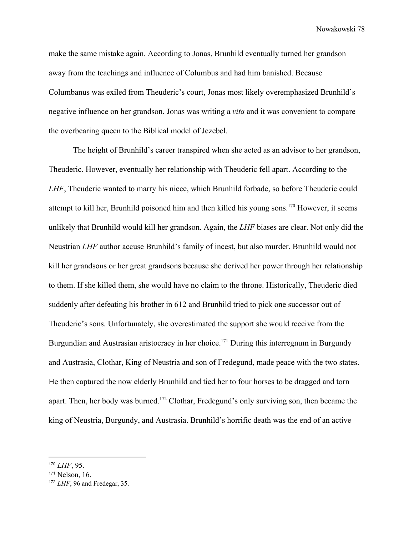make the same mistake again. According to Jonas, Brunhild eventually turned her grandson away from the teachings and influence of Columbus and had him banished. Because Columbanus was exiled from Theuderic's court, Jonas most likely overemphasized Brunhild's negative influence on her grandson. Jonas was writing a *vita* and it was convenient to compare the overbearing queen to the Biblical model of Jezebel.

The height of Brunhild's career transpired when she acted as an advisor to her grandson, Theuderic. However, eventually her relationship with Theuderic fell apart. According to the *LHF*, Theuderic wanted to marry his niece, which Brunhild forbade, so before Theuderic could attempt to kill her, Brunhild poisoned him and then killed his young sons.<sup>170</sup> However, it seems unlikely that Brunhild would kill her grandson. Again, the *LHF* biases are clear. Not only did the Neustrian *LHF* author accuse Brunhild's family of incest, but also murder. Brunhild would not kill her grandsons or her great grandsons because she derived her power through her relationship to them. If she killed them, she would have no claim to the throne. Historically, Theuderic died suddenly after defeating his brother in 612 and Brunhild tried to pick one successor out of Theuderic's sons. Unfortunately, she overestimated the support she would receive from the Burgundian and Austrasian aristocracy in her choice.<sup>171</sup> During this interregnum in Burgundy and Austrasia, Clothar, King of Neustria and son of Fredegund, made peace with the two states. He then captured the now elderly Brunhild and tied her to four horses to be dragged and torn apart. Then, her body was burned.<sup>172</sup> Clothar, Fredegund's only surviving son, then became the king of Neustria, Burgundy, and Austrasia. Brunhild's horrific death was the end of an active

<sup>170</sup> *LHF*, 95.

<sup>171</sup> Nelson, 16.

<sup>172</sup> *LHF*, 96 and Fredegar, 35.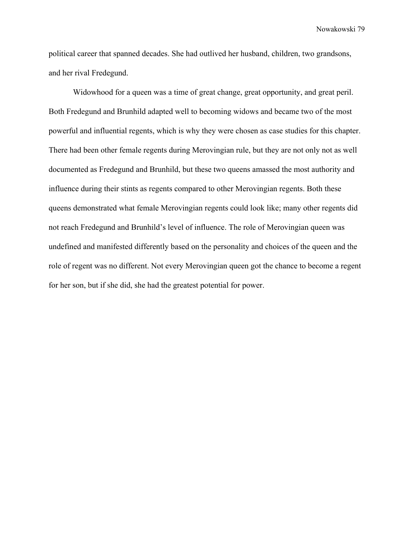political career that spanned decades. She had outlived her husband, children, two grandsons, and her rival Fredegund.

Widowhood for a queen was a time of great change, great opportunity, and great peril. Both Fredegund and Brunhild adapted well to becoming widows and became two of the most powerful and influential regents, which is why they were chosen as case studies for this chapter. There had been other female regents during Merovingian rule, but they are not only not as well documented as Fredegund and Brunhild, but these two queens amassed the most authority and influence during their stints as regents compared to other Merovingian regents. Both these queens demonstrated what female Merovingian regents could look like; many other regents did not reach Fredegund and Brunhild's level of influence. The role of Merovingian queen was undefined and manifested differently based on the personality and choices of the queen and the role of regent was no different. Not every Merovingian queen got the chance to become a regent for her son, but if she did, she had the greatest potential for power.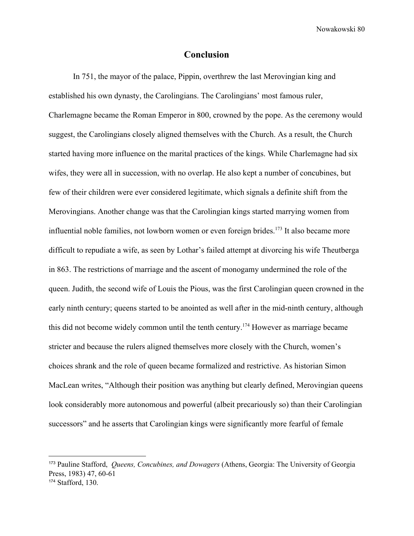## **Conclusion**

In 751, the mayor of the palace, Pippin, overthrew the last Merovingian king and established his own dynasty, the Carolingians. The Carolingians' most famous ruler, Charlemagne became the Roman Emperor in 800, crowned by the pope. As the ceremony would suggest, the Carolingians closely aligned themselves with the Church. As a result, the Church started having more influence on the marital practices of the kings. While Charlemagne had six wifes, they were all in succession, with no overlap. He also kept a number of concubines, but few of their children were ever considered legitimate, which signals a definite shift from the Merovingians. Another change was that the Carolingian kings started marrying women from influential noble families, not lowborn women or even foreign brides.<sup>173</sup> It also became more difficult to repudiate a wife, as seen by Lothar's failed attempt at divorcing his wife Theutberga in 863. The restrictions of marriage and the ascent of monogamy undermined the role of the queen. Judith, the second wife of Louis the Pious, was the first Carolingian queen crowned in the early ninth century; queens started to be anointed as well after in the mid-ninth century, although this did not become widely common until the tenth century.<sup>174</sup> However as marriage became stricter and because the rulers aligned themselves more closely with the Church, women's choices shrank and the role of queen became formalized and restrictive. As historian Simon MacLean writes, "Although their position was anything but clearly defined, Merovingian queens look considerably more autonomous and powerful (albeit precariously so) than their Carolingian successors" and he asserts that Carolingian kings were significantly more fearful of female

<sup>173</sup> Pauline Stafford, *Queens, Concubines, and Dowagers* (Athens, Georgia: The University of Georgia Press, 1983) 47, 60-61 <sup>174</sup> Stafford, 130.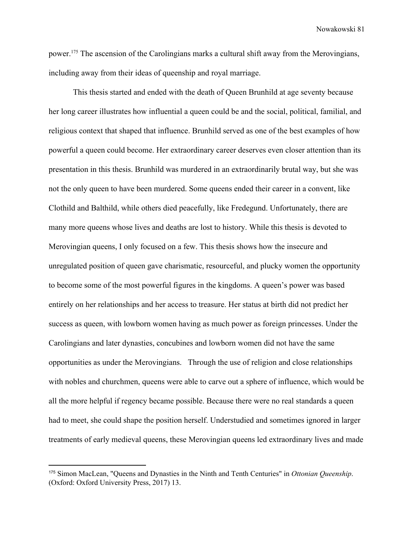power.<sup>175</sup> The ascension of the Carolingians marks a cultural shift away from the Merovingians, including away from their ideas of queenship and royal marriage.

This thesis started and ended with the death of Queen Brunhild at age seventy because her long career illustrates how influential a queen could be and the social, political, familial, and religious context that shaped that influence. Brunhild served as one of the best examples of how powerful a queen could become. Her extraordinary career deserves even closer attention than its presentation in this thesis. Brunhild was murdered in an extraordinarily brutal way, but she was not the only queen to have been murdered. Some queens ended their career in a convent, like Clothild and Balthild, while others died peacefully, like Fredegund. Unfortunately, there are many more queens whose lives and deaths are lost to history. While this thesis is devoted to Merovingian queens, I only focused on a few. This thesis shows how the insecure and unregulated position of queen gave charismatic, resourceful, and plucky women the opportunity to become some of the most powerful figures in the kingdoms. A queen's power was based entirely on her relationships and her access to treasure. Her status at birth did not predict her success as queen, with lowborn women having as much power as foreign princesses. Under the Carolingians and later dynasties, concubines and lowborn women did not have the same opportunities as under the Merovingians. Through the use of religion and close relationships with nobles and churchmen, queens were able to carve out a sphere of influence, which would be all the more helpful if regency became possible. Because there were no real standards a queen had to meet, she could shape the position herself. Understudied and sometimes ignored in larger treatments of early medieval queens, these Merovingian queens led extraordinary lives and made

<sup>175</sup> Simon MacLean, "Queens and Dynasties in the Ninth and Tenth Centuries" in *Ottonian Queenship*. (Oxford: Oxford University Press, 2017) 13.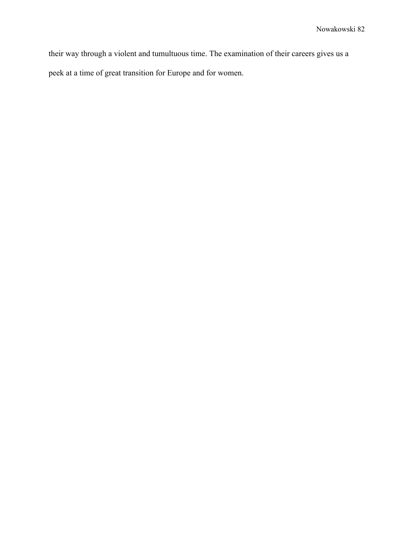their way through a violent and tumultuous time. The examination of their careers gives us a peek at a time of great transition for Europe and for women.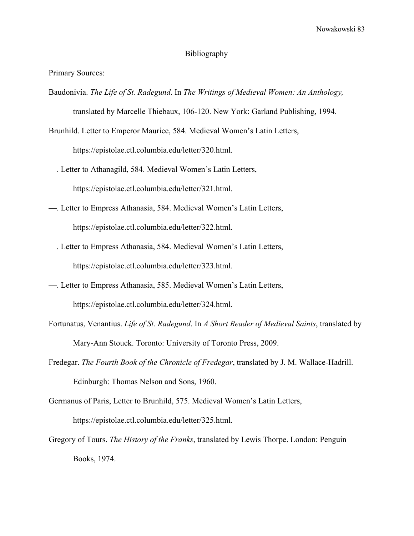## Bibliography

Primary Sources:

Baudonivia. *The Life of St. Radegund*. In *The Writings of Medieval Women: An Anthology,*

translated by Marcelle Thiebaux, 106-120. New York: Garland Publishing, 1994.

Brunhild. Letter to Emperor Maurice, 584. Medieval Women's Latin Letters, https://epistolae.ctl.columbia.edu/letter/320.html.

—. Letter to Athanagild, 584. Medieval Women's Latin Letters, https://epistolae.ctl.columbia.edu/letter/321.html.

- —. Letter to Empress Athanasia, 584. Medieval Women's Latin Letters, https://epistolae.ctl.columbia.edu/letter/322.html.
- —. Letter to Empress Athanasia, 584. Medieval Women's Latin Letters, https://epistolae.ctl.columbia.edu/letter/323.html.
- —. Letter to Empress Athanasia, 585. Medieval Women's Latin Letters, https://epistolae.ctl.columbia.edu/letter/324.html.
- Fortunatus, Venantius. *Life of St. Radegund*. In *A Short Reader of Medieval Saints*, translated by Mary-Ann Stouck. Toronto: University of Toronto Press, 2009.
- Fredegar. *The Fourth Book of the Chronicle of Fredegar*, translated by J. M. Wallace-Hadrill. Edinburgh: Thomas Nelson and Sons, 1960.

Germanus of Paris, Letter to Brunhild, 575. Medieval Women's Latin Letters, https://epistolae.ctl.columbia.edu/letter/325.html.

Gregory of Tours. *The History of the Franks*, translated by Lewis Thorpe. London: Penguin Books, 1974.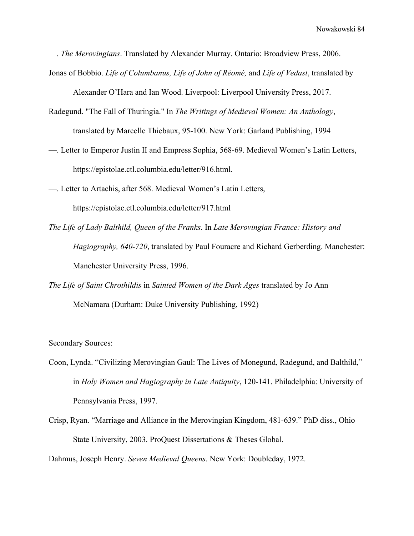—. *The Merovingians*. Translated by Alexander Murray. Ontario: Broadview Press, 2006.

Jonas of Bobbio. *Life of Columbanus, Life of John of Réomé,* and *Life of Vedast*, translated by

Alexander O'Hara and Ian Wood. Liverpool: Liverpool University Press, 2017.

- Radegund. "The Fall of Thuringia." In *The Writings of Medieval Women: An Anthology*, translated by Marcelle Thiebaux, 95-100. New York: Garland Publishing, 1994
- —. Letter to Emperor Justin II and Empress Sophia, 568-69. Medieval Women's Latin Letters, https://epistolae.ctl.columbia.edu/letter/916.html.
- —. Letter to Artachis, after 568. Medieval Women's Latin Letters,

https://epistolae.ctl.columbia.edu/letter/917.html

- *The Life of Lady Balthild, Queen of the Franks*. In *Late Merovingian France: History and Hagiography, 640-720*, translated by Paul Fouracre and Richard Gerberding. Manchester: Manchester University Press, 1996.
- *The Life of Saint Chrothildis* in *Sainted Women of the Dark Ages* translated by Jo Ann McNamara (Durham: Duke University Publishing, 1992)

Secondary Sources:

- Coon, Lynda. "Civilizing Merovingian Gaul: The Lives of Monegund, Radegund, and Balthild," in *Holy Women and Hagiography in Late Antiquity*, 120-141. Philadelphia: University of Pennsylvania Press, 1997.
- Crisp, Ryan. "Marriage and Alliance in the Merovingian Kingdom, 481-639." PhD diss., Ohio State University, 2003. ProQuest Dissertations & Theses Global.

Dahmus, Joseph Henry. *Seven Medieval Queens*. New York: Doubleday, 1972.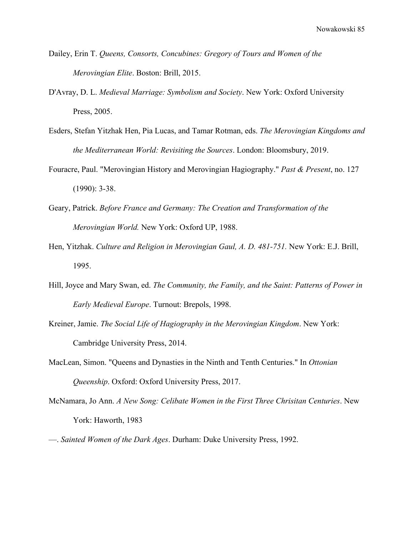- Dailey, Erin T. *Queens, Consorts, Concubines: Gregory of Tours and Women of the Merovingian Elite*. Boston: Brill, 2015.
- D'Avray, D. L. *Medieval Marriage: Symbolism and Society*. New York: Oxford University Press, 2005.
- Esders, Stefan Yitzhak Hen, Pia Lucas, and Tamar Rotman, eds. *The Merovingian Kingdoms and the Mediterranean World: Revisiting the Sources*. London: Bloomsbury, 2019.
- Fouracre, Paul. "Merovingian History and Merovingian Hagiography." *Past & Present*, no. 127 (1990): 3-38.
- Geary, Patrick. *Before France and Germany: The Creation and Transformation of the Merovingian World.* New York: Oxford UP, 1988.
- Hen, Yitzhak. *Culture and Religion in Merovingian Gaul, A. D. 481-751.* New York: E.J. Brill, 1995.
- Hill, Joyce and Mary Swan, ed. *The Community, the Family, and the Saint: Patterns of Power in Early Medieval Europe*. Turnout: Brepols, 1998.
- Kreiner, Jamie. *The Social Life of Hagiography in the Merovingian Kingdom*. New York: Cambridge University Press, 2014.
- MacLean, Simon. "Queens and Dynasties in the Ninth and Tenth Centuries." In *Ottonian Queenship*. Oxford: Oxford University Press, 2017.
- McNamara, Jo Ann. *A New Song: Celibate Women in the First Three Chrisitan Centuries*. New York: Haworth, 1983
- —. *Sainted Women of the Dark Ages*. Durham: Duke University Press, 1992.